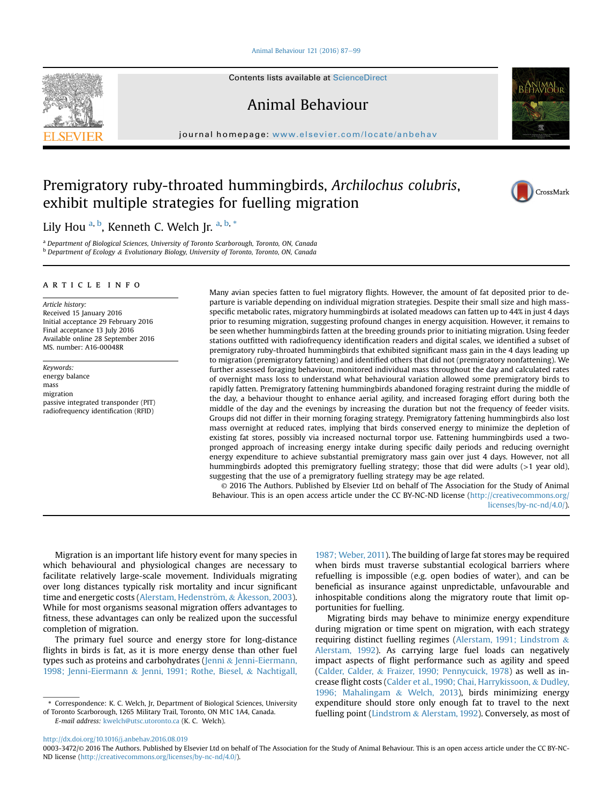## [Animal Behaviour 121 \(2016\) 87](http://dx.doi.org/10.1016/j.anbehav.2016.08.019)-[99](http://dx.doi.org/10.1016/j.anbehav.2016.08.019)

Contents lists available at ScienceDirect

Animal Behaviour

journal homepage: [www.elsevier.com/locate/anbehav](http://www.elsevier.com/locate/anbehav)

# Premigratory ruby-throated hummingbirds, Archilochus colubris, exhibit multiple strategies for fuelling migration

Lily Hou <sup>a, b</sup>, Kenneth C. Welch Jr. <sup>a, b, \*</sup>

<sup>a</sup> Department of Biological Sciences, University of Toronto Scarborough, Toronto, ON, Canada b Department of Ecology & Evolutionary Biology, University of Toronto, Toronto, ON, Canada

# article info

Article history: Received 15 January 2016 Initial acceptance 29 February 2016 Final acceptance 13 July 2016 Available online 28 September 2016 MS. number: A16-00048R

Keywords: energy balance mass migration passive integrated transponder (PIT) radiofrequency identification (RFID)

Many avian species fatten to fuel migratory flights. However, the amount of fat deposited prior to departure is variable depending on individual migration strategies. Despite their small size and high massspecific metabolic rates, migratory hummingbirds at isolated meadows can fatten up to 44% in just 4 days prior to resuming migration, suggesting profound changes in energy acquisition. However, it remains to be seen whether hummingbirds fatten at the breeding grounds prior to initiating migration. Using feeder stations outfitted with radiofrequency identification readers and digital scales, we identified a subset of premigratory ruby-throated hummingbirds that exhibited significant mass gain in the 4 days leading up to migration (premigratory fattening) and identified others that did not (premigratory nonfattening). We further assessed foraging behaviour, monitored individual mass throughout the day and calculated rates of overnight mass loss to understand what behavioural variation allowed some premigratory birds to rapidly fatten. Premigratory fattening hummingbirds abandoned foraging restraint during the middle of the day, a behaviour thought to enhance aerial agility, and increased foraging effort during both the middle of the day and the evenings by increasing the duration but not the frequency of feeder visits. Groups did not differ in their morning foraging strategy. Premigratory fattening hummingbirds also lost mass overnight at reduced rates, implying that birds conserved energy to minimize the depletion of existing fat stores, possibly via increased nocturnal torpor use. Fattening hummingbirds used a twopronged approach of increasing energy intake during specific daily periods and reducing overnight energy expenditure to achieve substantial premigratory mass gain over just 4 days. However, not all hummingbirds adopted this premigratory fuelling strategy; those that did were adults (>1 year old), suggesting that the use of a premigratory fuelling strategy may be age related.

© 2016 The Authors. Published by Elsevier Ltd on behalf of The Association for the Study of Animal Behaviour. This is an open access article under the CC BY-NC-ND license ([http://creativecommons.org/](http://creativecommons.org/licenses/by-nc-nd/4.0/) [licenses/by-nc-nd/4.0/](http://creativecommons.org/licenses/by-nc-nd/4.0/)).

Migration is an important life history event for many species in which behavioural and physiological changes are necessary to facilitate relatively large-scale movement. Individuals migrating over long distances typically risk mortality and incur significant time and energetic costs (Alerstam, Hedenström, & [Åkesson, 2003\)](#page-11-0). While for most organisms seasonal migration offers advantages to fitness, these advantages can only be realized upon the successful completion of migration.

The primary fuel source and energy store for long-distance flights in birds is fat, as it is more energy dense than other fuel types such as proteins and carbohydrates ([Jenni](#page-11-0) & [Jenni-Eiermann,](#page-11-0) [1998; Jenni-Eiermann](#page-11-0) & [Jenni, 1991; Rothe, Biesel,](#page-11-0) & [Nachtigall,](#page-11-0)

E-mail address: [kwelch@utsc.utoronto.ca](mailto:kwelch@utsc.utoronto.ca) (K. C. Welch).

[1987; Weber, 2011\)](#page-11-0). The building of large fat stores may be required when birds must traverse substantial ecological barriers where refuelling is impossible (e.g. open bodies of water), and can be beneficial as insurance against unpredictable, unfavourable and inhospitable conditions along the migratory route that limit opportunities for fuelling.

Migrating birds may behave to minimize energy expenditure during migration or time spent on migration, with each strategy requiring distinct fuelling regimes ([Alerstam, 1991; Lindstrom](#page-11-0) & [Alerstam, 1992](#page-11-0)). As carrying large fuel loads can negatively impact aspects of flight performance such as agility and speed ([Calder, Calder,](#page-11-0) & [Fraizer, 1990; Pennycuick, 1978](#page-11-0)) as well as increase flight costs [\(Calder et al., 1990; Chai, Harrykissoon,](#page-11-0) & [Dudley,](#page-11-0) [1996; Mahalingam](#page-11-0) & [Welch, 2013\)](#page-11-0), birds minimizing energy expenditure should store only enough fat to travel to the next fuelling point [\(Lindstrom](#page-11-0) & [Alerstam, 1992](#page-11-0)). Conversely, as most of

<http://dx.doi.org/10.1016/j.anbehav.2016.08.019>







CrossMark

<sup>\*</sup> Correspondence: K. C. Welch, Jr, Department of Biological Sciences, University of Toronto Scarborough, 1265 Military Trail, Toronto, ON M1C 1A4, Canada.

<sup>0003-3472/</sup>© 2016 The Authors. Published by Elsevier Ltd on behalf of The Association for the Study of Animal Behaviour. This is an open access article under the CC BY-NC-ND license ([http://creativecommons.org/licenses/by-nc-nd/4.0/\)](http://creativecommons.org/licenses/by-nc-nd/4.0/).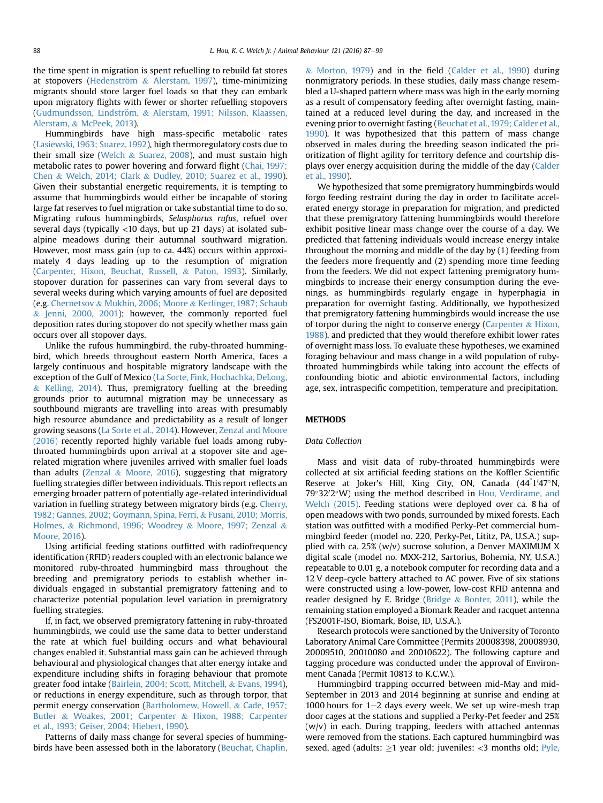the time spent in migration is spent refuelling to rebuild fat stores at stopovers (Hedenström & [Alerstam, 1997](#page-11-0)), time-minimizing migrants should store larger fuel loads so that they can embark upon migratory flights with fewer or shorter refuelling stopovers (Gudmundsson, Lindström, & [Alerstam, 1991; Nilsson, Klaassen,](#page-11-0) [Alerstam,](#page-11-0) & [McPeek, 2013](#page-11-0)).

Hummingbirds have high mass-specific metabolic rates ([Lasiewski, 1963; Suarez, 1992](#page-11-0)), high thermoregulatory costs due to their small size ([Welch](#page-12-0)  $&$  [Suarez, 2008](#page-12-0)), and must sustain high metabolic rates to power hovering and forward flight [\(Chai, 1997;](#page-11-0) [Chen](#page-11-0) & [Welch, 2014; Clark](#page-11-0) & [Dudley, 2010; Suarez et al., 1990\)](#page-11-0). Given their substantial energetic requirements, it is tempting to assume that hummingbirds would either be incapable of storing large fat reserves to fuel migration or take substantial time to do so. Migrating rufous hummingbirds, Selasphorus rufus, refuel over several days (typically <10 days, but up 21 days) at isolated subalpine meadows during their autumnal southward migration. However, most mass gain (up to ca. 44%) occurs within approximately 4 days leading up to the resumption of migration ([Carpenter, Hixon, Beuchat, Russell,](#page-11-0) & [Paton, 1993\)](#page-11-0). Similarly, stopover duration for passerines can vary from several days to several weeks during which varying amounts of fuel are deposited (e.g. [Chernetsov](#page-11-0) & [Mukhin, 2006; Moore](#page-11-0) & [Kerlinger, 1987; Schaub](#page-11-0) & [Jenni, 2000, 2001\)](#page-11-0); however, the commonly reported fuel deposition rates during stopover do not specify whether mass gain occurs over all stopover days.

Unlike the rufous hummingbird, the ruby-throated hummingbird, which breeds throughout eastern North America, faces a largely continuous and hospitable migratory landscape with the exception of the Gulf of Mexico [\(La Sorte, Fink, Hochachka, DeLong,](#page-11-0)  $&$  [Kelling, 2014\)](#page-11-0). Thus, premigratory fuelling at the breeding grounds prior to autumnal migration may be unnecessary as southbound migrants are travelling into areas with presumably high resource abundance and predictability as a result of longer growing seasons [\(La Sorte et al., 2014](#page-11-0)). However, [Zenzal and Moore](#page-12-0) [\(2016\)](#page-12-0) recently reported highly variable fuel loads among rubythroated hummingbirds upon arrival at a stopover site and agerelated migration where juveniles arrived with smaller fuel loads than adults ([Zenzal](#page-12-0)  $&$  [Moore, 2016](#page-12-0)), suggesting that migratory fuelling strategies differ between individuals. This report reflects an emerging broader pattern of potentially age-related interindividual variation in fuelling strategy between migratory birds (e.g. [Cherry,](#page-11-0) [1982; Gannes, 2002; Goymann, Spina, Ferri,](#page-11-0) & [Fusani, 2010; Morris,](#page-11-0) [Holmes,](#page-11-0) & [Richmond, 1996; Woodrey](#page-11-0) & [Moore, 1997; Zenzal](#page-11-0) & [Moore, 2016\)](#page-11-0).

Using artificial feeding stations outfitted with radiofrequency identification (RFID) readers coupled with an electronic balance we monitored ruby-throated hummingbird mass throughout the breeding and premigratory periods to establish whether individuals engaged in substantial premigratory fattening and to characterize potential population level variation in premigratory fuelling strategies.

If, in fact, we observed premigratory fattening in ruby-throated hummingbirds, we could use the same data to better understand the rate at which fuel building occurs and what behavioural changes enabled it. Substantial mass gain can be achieved through behavioural and physiological changes that alter energy intake and expenditure including shifts in foraging behaviour that promote greater food intake [\(Bairlein, 2004; Scott, Mitchell,](#page-11-0) & [Evans, 1994\)](#page-11-0), or reductions in energy expenditure, such as through torpor, that permit energy conservation [\(Bartholomew, Howell,](#page-11-0) & [Cade, 1957;](#page-11-0) [Butler](#page-11-0) & [Woakes, 2001; Carpenter](#page-11-0) & [Hixon, 1988; Carpenter](#page-11-0) [et al., 1993; Geiser, 2004; Hiebert, 1990\)](#page-11-0).

Patterns of daily mass change for several species of hummingbirds have been assessed both in the laboratory [\(Beuchat, Chaplin,](#page-11-0) & [Morton, 1979\)](#page-11-0) and in the field [\(Calder et al., 1990\)](#page-11-0) during nonmigratory periods. In these studies, daily mass change resembled a U-shaped pattern where mass was high in the early morning as a result of compensatory feeding after overnight fasting, maintained at a reduced level during the day, and increased in the evening prior to overnight fasting ([Beuchat et al., 1979; Calder et al.,](#page-11-0) [1990](#page-11-0)). It was hypothesized that this pattern of mass change observed in males during the breeding season indicated the prioritization of flight agility for territory defence and courtship displays over energy acquisition during the middle of the day ([Calder](#page-11-0) [et al., 1990](#page-11-0)).

We hypothesized that some premigratory hummingbirds would forgo feeding restraint during the day in order to facilitate accelerated energy storage in preparation for migration, and predicted that these premigratory fattening hummingbirds would therefore exhibit positive linear mass change over the course of a day. We predicted that fattening individuals would increase energy intake throughout the morning and middle of the day by (1) feeding from the feeders more frequently and (2) spending more time feeding from the feeders. We did not expect fattening premigratory hummingbirds to increase their energy consumption during the evenings, as hummingbirds regularly engage in hyperphagia in preparation for overnight fasting. Additionally, we hypothesized that premigratory fattening hummingbirds would increase the use of torpor during the night to conserve energy ([Carpenter](#page-11-0)  $& Hixon,$  $& Hixon,$ [1988](#page-11-0)), and predicted that they would therefore exhibit lower rates of overnight mass loss. To evaluate these hypotheses, we examined foraging behaviour and mass change in a wild population of rubythroated hummingbirds while taking into account the effects of confounding biotic and abiotic environmental factors, including age, sex, intraspecific competition, temperature and precipitation.

# **METHODS**

## Data Collection

Mass and visit data of ruby-throated hummingbirds were collected at six artificial feeding stations on the Koffler Scientific Reserve at Joker's Hill, King City, ON, Canada  $(44^{\circ}1'47^{\circ}N,$  $79^{\circ}32'2^{\circ}$ W) using the method described in [Hou, Verdirame, and](#page-11-0) [Welch \(2015\)](#page-11-0). Feeding stations were deployed over ca. 8 ha of open meadows with two ponds, surrounded by mixed forests. Each station was outfitted with a modified Perky-Pet commercial hummingbird feeder (model no. 220, Perky-Pet, Lititz, PA, U.S.A.) supplied with ca. 25% (w/v) sucrose solution, a Denver MAXIMUM X digital scale (model no. MXX-212, Sartorius, Bohemia, NY, U.S.A.) repeatable to 0.01 g, a notebook computer for recording data and a 12 V deep-cycle battery attached to AC power. Five of six stations were constructed using a low-power, low-cost RFID antenna and reader designed by E. Bridge [\(Bridge](#page-11-0)  $&$  [Bonter, 2011](#page-11-0)), while the remaining station employed a Biomark Reader and racquet antenna (FS2001F-ISO, Biomark, Boise, ID, U.S.A.).

Research protocols were sanctioned by the University of Toronto Laboratory Animal Care Committee (Permits 20008398, 20008930, 20009510, 20010080 and 20010622). The following capture and tagging procedure was conducted under the approval of Environment Canada (Permit 10813 to K.C.W.).

Hummingbird trapping occurred between mid-May and mid-September in 2013 and 2014 beginning at sunrise and ending at 1000 hours for  $1-2$  days every week. We set up wire-mesh trap door cages at the stations and supplied a Perky-Pet feeder and 25%  $(w/v)$  in each. During trapping, feeders with attached antennas were removed from the stations. Each captured hummingbird was sexed, aged (adults:  $\geq$ 1 year old; juveniles: <3 months old; [Pyle,](#page-12-0)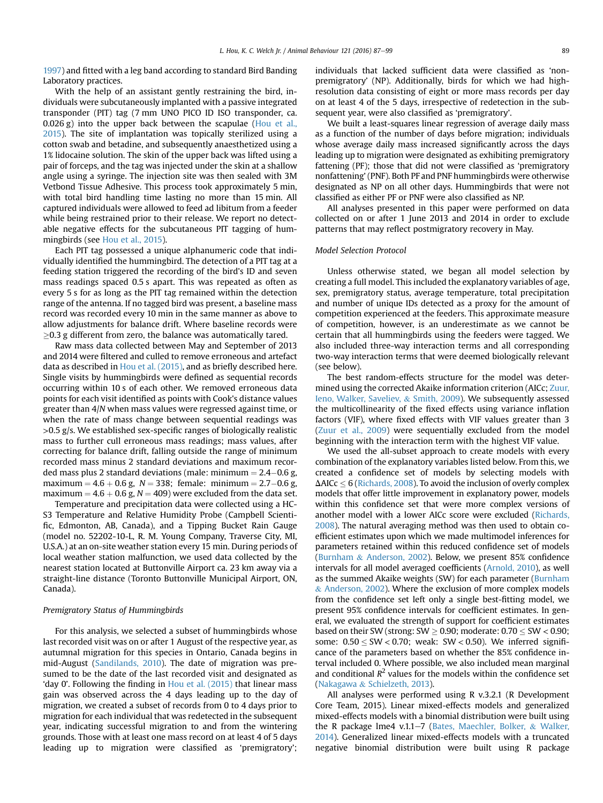[1997\)](#page-12-0) and fitted with a leg band according to standard Bird Banding Laboratory practices.

With the help of an assistant gently restraining the bird, individuals were subcutaneously implanted with a passive integrated transponder (PIT) tag (7 mm UNO PICO ID ISO transponder, ca. 0.026 g) into the upper back between the scapulae [\(Hou et al.,](#page-11-0) [2015\)](#page-11-0). The site of implantation was topically sterilized using a cotton swab and betadine, and subsequently anaesthetized using a 1% lidocaine solution. The skin of the upper back was lifted using a pair of forceps, and the tag was injected under the skin at a shallow angle using a syringe. The injection site was then sealed with 3M Vetbond Tissue Adhesive. This process took approximately 5 min, with total bird handling time lasting no more than 15 min. All captured individuals were allowed to feed ad libitum from a feeder while being restrained prior to their release. We report no detectable negative effects for the subcutaneous PIT tagging of hum-mingbirds (see [Hou et al., 2015](#page-11-0)).

Each PIT tag possessed a unique alphanumeric code that individually identified the hummingbird. The detection of a PIT tag at a feeding station triggered the recording of the bird's ID and seven mass readings spaced 0.5 s apart. This was repeated as often as every 5 s for as long as the PIT tag remained within the detection range of the antenna. If no tagged bird was present, a baseline mass record was recorded every 10 min in the same manner as above to allow adjustments for balance drift. Where baseline records were  $>$ 0.3 g different from zero, the balance was automatically tared.

Raw mass data collected between May and September of 2013 and 2014 were filtered and culled to remove erroneous and artefact data as described in [Hou et al. \(2015\)](#page-11-0), and as briefly described here. Single visits by hummingbirds were defined as sequential records occurring within 10 s of each other. We removed erroneous data points for each visit identified as points with Cook's distance values greater than 4/N when mass values were regressed against time, or when the rate of mass change between sequential readings was >0.5 g/s. We established sex-specific ranges of biologically realistic mass to further cull erroneous mass readings; mass values, after correcting for balance drift, falling outside the range of minimum recorded mass minus 2 standard deviations and maximum recorded mass plus 2 standard deviations (male: minimum  $= 2.4 - 0.6$  g, maximum =  $4.6 + 0.6$  g,  $N = 338$ ; female: minimum =  $2.7 - 0.6$  g, maximum =  $4.6 + 0.6$  g,  $N = 409$ ) were excluded from the data set.

Temperature and precipitation data were collected using a HC-S3 Temperature and Relative Humidity Probe (Campbell Scientific, Edmonton, AB, Canada), and a Tipping Bucket Rain Gauge (model no. 52202-10-L, R. M. Young Company, Traverse City, MI, U.S.A.) at an on-site weather station every 15 min. During periods of local weather station malfunction, we used data collected by the nearest station located at Buttonville Airport ca. 23 km away via a straight-line distance (Toronto Buttonville Municipal Airport, ON, Canada).

# Premigratory Status of Hummingbirds

For this analysis, we selected a subset of hummingbirds whose last recorded visit was on or after 1 August of the respective year, as autumnal migration for this species in Ontario, Canada begins in mid-August [\(Sandilands, 2010](#page-12-0)). The date of migration was presumed to be the date of the last recorded visit and designated as 'day 0'. Following the finding in [Hou et al. \(2015\)](#page-11-0) that linear mass gain was observed across the 4 days leading up to the day of migration, we created a subset of records from 0 to 4 days prior to migration for each individual that was redetected in the subsequent year, indicating successful migration to and from the wintering grounds. Those with at least one mass record on at least 4 of 5 days leading up to migration were classified as 'premigratory'; individuals that lacked sufficient data were classified as 'nonpremigratory' (NP). Additionally, birds for which we had highresolution data consisting of eight or more mass records per day on at least 4 of the 5 days, irrespective of redetection in the subsequent year, were also classified as 'premigratory'.

We built a least-squares linear regression of average daily mass as a function of the number of days before migration; individuals whose average daily mass increased significantly across the days leading up to migration were designated as exhibiting premigratory fattening (PF); those that did not were classified as 'premigratory nonfattening' (PNF). Both PF and PNF hummingbirds were otherwise designated as NP on all other days. Hummingbirds that were not classified as either PF or PNF were also classified as NP.

All analyses presented in this paper were performed on data collected on or after 1 June 2013 and 2014 in order to exclude patterns that may reflect postmigratory recovery in May.

# Model Selection Protocol

Unless otherwise stated, we began all model selection by creating a full model. This included the explanatory variables of age, sex, premigratory status, average temperature, total precipitation and number of unique IDs detected as a proxy for the amount of competition experienced at the feeders. This approximate measure of competition, however, is an underestimate as we cannot be certain that all hummingbirds using the feeders were tagged. We also included three-way interaction terms and all corresponding two-way interaction terms that were deemed biologically relevant (see below).

The best random-effects structure for the model was determined using the corrected Akaike information criterion (AICc; [Zuur,](#page-12-0) [Ieno, Walker, Saveliev,](#page-12-0) & [Smith, 2009\)](#page-12-0). We subsequently assessed the multicollinearity of the fixed effects using variance inflation factors (VIF), where fixed effects with VIF values greater than 3 ([Zuur et al., 2009\)](#page-12-0) were sequentially excluded from the model beginning with the interaction term with the highest VIF value.

We used the all-subset approach to create models with every combination of the explanatory variables listed below. From this, we created a confidence set of models by selecting models with  $\Delta AICc \leq 6$  [\(Richards, 2008](#page-12-0)). To avoid the inclusion of overly complex models that offer little improvement in explanatory power, models within this confidence set that were more complex versions of another model with a lower AICc score were excluded ([Richards,](#page-12-0) [2008\)](#page-12-0). The natural averaging method was then used to obtain coefficient estimates upon which we made multimodel inferences for parameters retained within this reduced confidence set of models [\(Burnham](#page-11-0) & [Anderson, 2002](#page-11-0)). Below, we present 85% confidence intervals for all model averaged coefficients ([Arnold, 2010\)](#page-11-0), as well as the summed Akaike weights (SW) for each parameter ([Burnham](#page-11-0) & [Anderson, 2002](#page-11-0)). Where the exclusion of more complex models from the confidence set left only a single best-fitting model, we present 95% confidence intervals for coefficient estimates. In general, we evaluated the strength of support for coefficient estimates based on their SW (strong: SW  $\geq$  0.90; moderate: 0.70  $\leq$  SW  $<$  0.90; some:  $0.50 \leq SW < 0.70$ ; weak: SW < 0.50). We inferred significance of the parameters based on whether the 85% confidence interval included 0. Where possible, we also included mean marginal and conditional  $R^2$  values for the models within the confidence set [\(Nakagawa](#page-11-0) & [Schielzeth, 2013](#page-11-0)).

All analyses were performed using R v.3.2.1 (R Development Core Team, 2015). Linear mixed-effects models and generalized mixed-effects models with a binomial distribution were built using the R package lme4 v.1.1-7 [\(Bates, Maechler, Bolker,](#page-11-0) & [Walker,](#page-11-0) [2014\)](#page-11-0). Generalized linear mixed-effects models with a truncated negative binomial distribution were built using R package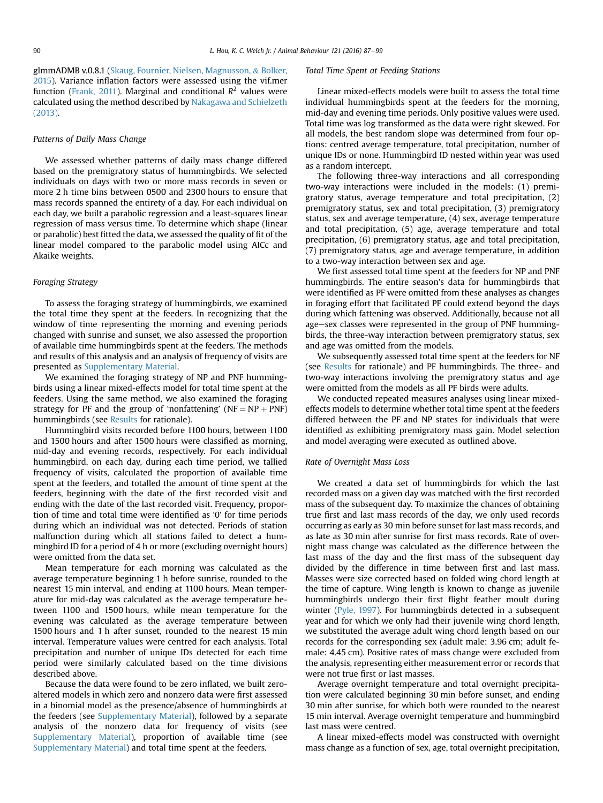glmmADMB v.0.8.1 [\(Skaug, Fournier, Nielsen, Magnusson,](#page-12-0) & [Bolker,](#page-12-0) [2015](#page-12-0)). Variance inflation factors were assessed using the vif.mer function [\(Frank, 2011\)](#page-11-0). Marginal and conditional  $R^2$  values were calculated using the method described by [Nakagawa and Schielzeth](#page-11-0) [\(2013\)](#page-11-0).

# Patterns of Daily Mass Change

We assessed whether patterns of daily mass change differed based on the premigratory status of hummingbirds. We selected individuals on days with two or more mass records in seven or more 2 h time bins between 0500 and 2300 hours to ensure that mass records spanned the entirety of a day. For each individual on each day, we built a parabolic regression and a least-squares linear regression of mass versus time. To determine which shape (linear or parabolic) best fitted the data, we assessed the quality of fit of the linear model compared to the parabolic model using AICc and Akaike weights.

# Foraging Strategy

To assess the foraging strategy of hummingbirds, we examined the total time they spent at the feeders. In recognizing that the window of time representing the morning and evening periods changed with sunrise and sunset, we also assessed the proportion of available time hummingbirds spent at the feeders. The methods and results of this analysis and an analysis of frequency of visits are presented as Supplementary Material.

We examined the foraging strategy of NP and PNF hummingbirds using a linear mixed-effects model for total time spent at the feeders. Using the same method, we also examined the foraging strategy for PF and the group of 'nonfattening' ( $NF = NP + PNF$ ) hummingbirds (see [Results](#page-4-0) for rationale).

Hummingbird visits recorded before 1100 hours, between 1100 and 1500 hours and after 1500 hours were classified as morning, mid-day and evening records, respectively. For each individual hummingbird, on each day, during each time period, we tallied frequency of visits, calculated the proportion of available time spent at the feeders, and totalled the amount of time spent at the feeders, beginning with the date of the first recorded visit and ending with the date of the last recorded visit. Frequency, proportion of time and total time were identified as '0' for time periods during which an individual was not detected. Periods of station malfunction during which all stations failed to detect a hummingbird ID for a period of 4 h or more (excluding overnight hours) were omitted from the data set.

Mean temperature for each morning was calculated as the average temperature beginning 1 h before sunrise, rounded to the nearest 15 min interval, and ending at 1100 hours. Mean temperature for mid-day was calculated as the average temperature between 1100 and 1500 hours, while mean temperature for the evening was calculated as the average temperature between 1500 hours and 1 h after sunset, rounded to the nearest 15 min interval. Temperature values were centred for each analysis. Total precipitation and number of unique IDs detected for each time period were similarly calculated based on the time divisions described above.

Because the data were found to be zero inflated, we built zeroaltered models in which zero and nonzero data were first assessed in a binomial model as the presence/absence of hummingbirds at the feeders (see Supplementary Material), followed by a separate analysis of the nonzero data for frequency of visits (see Supplementary Material), proportion of available time (see Supplementary Material) and total time spent at the feeders.

# Total Time Spent at Feeding Stations

Linear mixed-effects models were built to assess the total time individual hummingbirds spent at the feeders for the morning, mid-day and evening time periods. Only positive values were used. Total time was log transformed as the data were right skewed. For all models, the best random slope was determined from four options: centred average temperature, total precipitation, number of unique IDs or none. Hummingbird ID nested within year was used as a random intercept.

The following three-way interactions and all corresponding two-way interactions were included in the models: (1) premigratory status, average temperature and total precipitation, (2) premigratory status, sex and total precipitation, (3) premigratory status, sex and average temperature, (4) sex, average temperature and total precipitation, (5) age, average temperature and total precipitation, (6) premigratory status, age and total precipitation, (7) premigratory status, age and average temperature, in addition to a two-way interaction between sex and age.

We first assessed total time spent at the feeders for NP and PNF hummingbirds. The entire season's data for hummingbirds that were identified as PF were omitted from these analyses as changes in foraging effort that facilitated PF could extend beyond the days during which fattening was observed. Additionally, because not all age-sex classes were represented in the group of PNF hummingbirds, the three-way interaction between premigratory status, sex and age was omitted from the models.

We subsequently assessed total time spent at the feeders for NF (see [Results](#page-4-0) for rationale) and PF hummingbirds. The three- and two-way interactions involving the premigratory status and age were omitted from the models as all PF birds were adults.

We conducted repeated measures analyses using linear mixedeffects models to determine whether total time spent at the feeders differed between the PF and NP states for individuals that were identified as exhibiting premigratory mass gain. Model selection and model averaging were executed as outlined above.

## Rate of Overnight Mass Loss

We created a data set of hummingbirds for which the last recorded mass on a given day was matched with the first recorded mass of the subsequent day. To maximize the chances of obtaining true first and last mass records of the day, we only used records occurring as early as 30 min before sunset for last mass records, and as late as 30 min after sunrise for first mass records. Rate of overnight mass change was calculated as the difference between the last mass of the day and the first mass of the subsequent day divided by the difference in time between first and last mass. Masses were size corrected based on folded wing chord length at the time of capture. Wing length is known to change as juvenile hummingbirds undergo their first flight feather moult during winter [\(Pyle, 1997](#page-12-0)). For hummingbirds detected in a subsequent year and for which we only had their juvenile wing chord length, we substituted the average adult wing chord length based on our records for the corresponding sex (adult male: 3.96 cm; adult female: 4.45 cm). Positive rates of mass change were excluded from the analysis, representing either measurement error or records that were not true first or last masses.

Average overnight temperature and total overnight precipitation were calculated beginning 30 min before sunset, and ending 30 min after sunrise, for which both were rounded to the nearest 15 min interval. Average overnight temperature and hummingbird last mass were centred.

A linear mixed-effects model was constructed with overnight mass change as a function of sex, age, total overnight precipitation,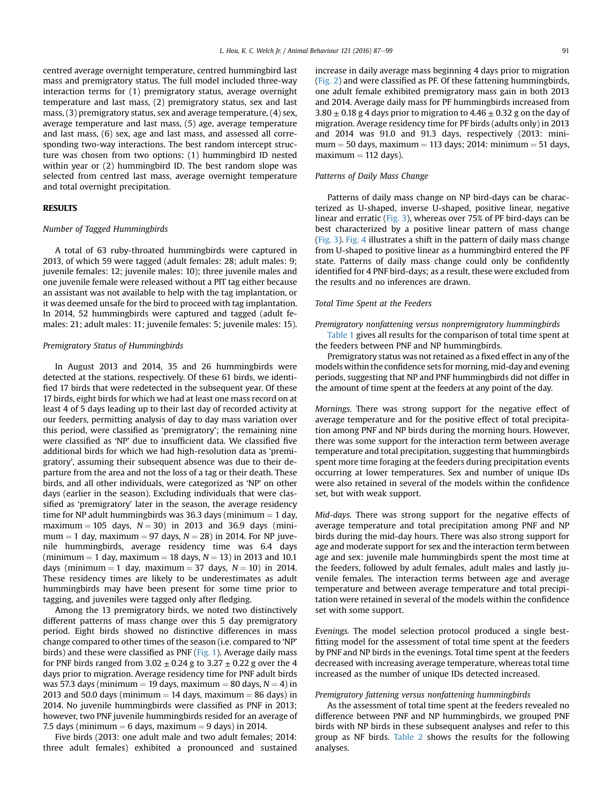<span id="page-4-0"></span>centred average overnight temperature, centred hummingbird last mass and premigratory status. The full model included three-way interaction terms for (1) premigratory status, average overnight temperature and last mass, (2) premigratory status, sex and last mass, (3) premigratory status, sex and average temperature, (4) sex, average temperature and last mass, (5) age, average temperature and last mass, (6) sex, age and last mass, and assessed all corresponding two-way interactions. The best random intercept structure was chosen from two options: (1) hummingbird ID nested within year or (2) hummingbird ID. The best random slope was selected from centred last mass, average overnight temperature and total overnight precipitation.

# RESULTS

# Number of Tagged Hummingbirds

A total of 63 ruby-throated hummingbirds were captured in 2013, of which 59 were tagged (adult females: 28; adult males: 9; juvenile females: 12; juvenile males: 10); three juvenile males and one juvenile female were released without a PIT tag either because an assistant was not available to help with the tag implantation, or it was deemed unsafe for the bird to proceed with tag implantation. In 2014, 52 hummingbirds were captured and tagged (adult females: 21; adult males: 11; juvenile females: 5; juvenile males: 15).

# Premigratory Status of Hummingbirds

In August 2013 and 2014, 35 and 26 hummingbirds were detected at the stations, respectively. Of these 61 birds, we identified 17 birds that were redetected in the subsequent year. Of these 17 birds, eight birds for which we had at least one mass record on at least 4 of 5 days leading up to their last day of recorded activity at our feeders, permitting analysis of day to day mass variation over this period, were classified as 'premigratory'; the remaining nine were classified as 'NP' due to insufficient data. We classified five additional birds for which we had high-resolution data as 'premigratory', assuming their subsequent absence was due to their departure from the area and not the loss of a tag or their death. These birds, and all other individuals, were categorized as 'NP' on other days (earlier in the season). Excluding individuals that were classified as 'premigratory' later in the season, the average residency time for NP adult hummingbirds was 36.3 days (minimum  $=$  1 day, maximum = 105 days,  $N = 30$ ) in 2013 and 36.9 days (minimum = 1 day, maximum = 97 days,  $N = 28$ ) in 2014. For NP juvenile hummingbirds, average residency time was 6.4 days (minimum  $= 1$  day, maximum  $= 18$  days,  $N = 13$ ) in 2013 and 10.1 days (minimum  $= 1$  day, maximum  $= 37$  days,  $N = 10$ ) in 2014. These residency times are likely to be underestimates as adult hummingbirds may have been present for some time prior to tagging, and juveniles were tagged only after fledging.

Among the 13 premigratory birds, we noted two distinctively different patterns of mass change over this 5 day premigratory period. Eight birds showed no distinctive differences in mass change compared to other times of the season (i.e. compared to 'NP' birds) and these were classified as PNF ([Fig. 1](#page-5-0)). Average daily mass for PNF birds ranged from  $3.02 \pm 0.24$  g to  $3.27 \pm 0.22$  g over the 4 days prior to migration. Average residency time for PNF adult birds was 57.3 days (minimum  $= 19$  days, maximum  $= 80$  days,  $N = 4$ ) in 2013 and 50.0 days (minimum  $=$  14 days, maximum  $=$  86 days) in 2014. No juvenile hummingbirds were classified as PNF in 2013; however, two PNF juvenile hummingbirds resided for an average of 7.5 days (minimum  $= 6$  days, maximum  $= 9$  days) in 2014.

Five birds (2013: one adult male and two adult females; 2014: three adult females) exhibited a pronounced and sustained increase in daily average mass beginning 4 days prior to migration ([Fig. 2](#page-5-0)) and were classified as PF. Of these fattening hummingbirds, one adult female exhibited premigratory mass gain in both 2013 and 2014. Average daily mass for PF hummingbirds increased from  $3.80 \pm 0.18$  g 4 days prior to migration to 4.46  $\pm$  0.32 g on the day of migration. Average residency time for PF birds (adults only) in 2013 and 2014 was 91.0 and 91.3 days, respectively (2013: minimum  $=$  50 days, maximum  $=$  113 days; 2014: minimum  $=$  51 days, maximum  $= 112$  days).

# Patterns of Daily Mass Change

Patterns of daily mass change on NP bird-days can be characterized as U-shaped, inverse U-shaped, positive linear, negative linear and erratic ([Fig. 3\)](#page-6-0), whereas over 75% of PF bird-days can be best characterized by a positive linear pattern of mass change ([Fig. 3\)](#page-6-0). [Fig. 4](#page-7-0) illustrates a shift in the pattern of daily mass change from U-shaped to positive linear as a hummingbird entered the PF state. Patterns of daily mass change could only be confidently identified for 4 PNF bird-days; as a result, these were excluded from the results and no inferences are drawn.

## Total Time Spent at the Feeders

Premigratory nonfattening versus nonpremigratory hummingbirds [Table 1](#page-8-0) gives all results for the comparison of total time spent at

the feeders between PNF and NP hummingbirds. Premigratory status was not retained as a fixed effect in any of the

models within the confidence sets for morning, mid-day and evening periods, suggesting that NP and PNF hummingbirds did not differ in the amount of time spent at the feeders at any point of the day.

Mornings. There was strong support for the negative effect of average temperature and for the positive effect of total precipitation among PNF and NP birds during the morning hours. However, there was some support for the interaction term between average temperature and total precipitation, suggesting that hummingbirds spent more time foraging at the feeders during precipitation events occurring at lower temperatures. Sex and number of unique IDs were also retained in several of the models within the confidence set, but with weak support.

Mid-days. There was strong support for the negative effects of average temperature and total precipitation among PNF and NP birds during the mid-day hours. There was also strong support for age and moderate support for sex and the interaction term between age and sex: juvenile male hummingbirds spent the most time at the feeders, followed by adult females, adult males and lastly juvenile females. The interaction terms between age and average temperature and between average temperature and total precipitation were retained in several of the models within the confidence set with some support.

Evenings. The model selection protocol produced a single bestfitting model for the assessment of total time spent at the feeders by PNF and NP birds in the evenings. Total time spent at the feeders decreased with increasing average temperature, whereas total time increased as the number of unique IDs detected increased.

## Premigratory fattening versus nonfattening hummingbirds

As the assessment of total time spent at the feeders revealed no difference between PNF and NP hummingbirds, we grouped PNF birds with NP birds in these subsequent analyses and refer to this group as NF birds. [Table 2](#page-9-0) shows the results for the following analyses.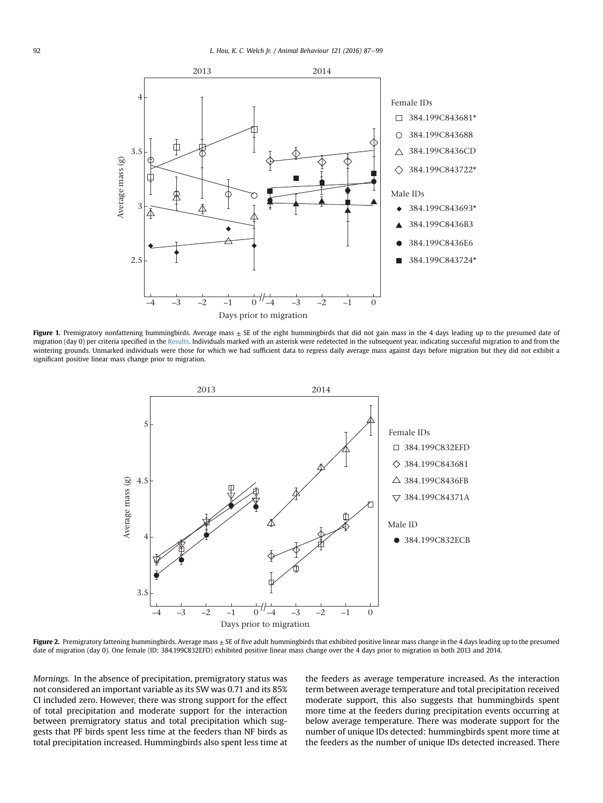<span id="page-5-0"></span>

Figure 1. Premigratory nonfattening hummingbirds. Average mass  $\pm$  SE of the eight hummingbirds that did not gain mass in the 4 days leading up to the presumed date of migration (day 0) per criteria specified in the [Results.](#page-4-0) Individuals marked with an asterisk were redetected in the subsequent year, indicating successful migration to and from the wintering grounds. Unmarked individuals were those for which we had sufficient data to regress daily average mass against days before migration but they did not exhibit a significant positive linear mass change prior to migration.



Figure 2. Premigratory fattening hummingbirds. Average mass ± SE of five adult hummingbirds that exhibited positive linear mass change in the 4 days leading up to the presumed date of migration (day 0). One female (ID: 384.199C832EFD) exhibited positive linear mass change over the 4 days prior to migration in both 2013 and 2014.

Mornings. In the absence of precipitation, premigratory status was not considered an important variable as its SW was 0.71 and its 85% CI included zero. However, there was strong support for the effect of total precipitation and moderate support for the interaction between premigratory status and total precipitation which suggests that PF birds spent less time at the feeders than NF birds as total precipitation increased. Hummingbirds also spent less time at the feeders as average temperature increased. As the interaction term between average temperature and total precipitation received moderate support, this also suggests that hummingbirds spent more time at the feeders during precipitation events occurring at below average temperature. There was moderate support for the number of unique IDs detected: hummingbirds spent more time at the feeders as the number of unique IDs detected increased. There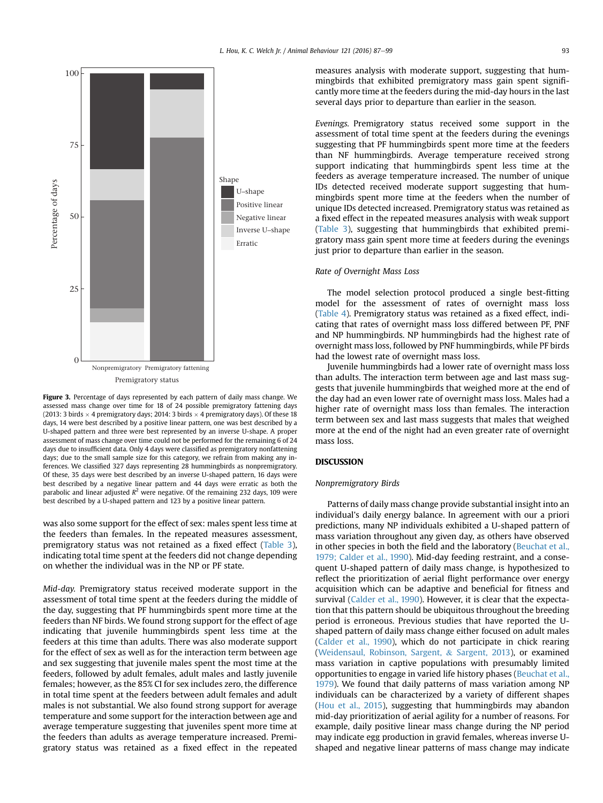<span id="page-6-0"></span>

Figure 3. Percentage of days represented by each pattern of daily mass change. We assessed mass change over time for 18 of 24 possible premigratory fattening days (2013: 3 birds  $\times$  4 premigratory days; 2014: 3 birds  $\times$  4 premigratory days). Of these 18 days, 14 were best described by a positive linear pattern, one was best described by a U-shaped pattern and three were best represented by an inverse U-shape. A proper assessment of mass change over time could not be performed for the remaining 6 of 24 days due to insufficient data. Only 4 days were classified as premigratory nonfattening days; due to the small sample size for this category, we refrain from making any inferences. We classified 327 days representing 28 hummingbirds as nonpremigratory. Of these, 35 days were best described by an inverse U-shaped pattern, 16 days were best described by a negative linear pattern and 44 days were erratic as both the parabolic and linear adjusted  $R^2$  were negative. Of the remaining 232 days, 109 were best described by a U-shaped pattern and 123 by a positive linear pattern.

was also some support for the effect of sex: males spent less time at the feeders than females. In the repeated measures assessment, premigratory status was not retained as a fixed effect ([Table 3\)](#page-10-0), indicating total time spent at the feeders did not change depending on whether the individual was in the NP or PF state.

Mid-day. Premigratory status received moderate support in the assessment of total time spent at the feeders during the middle of the day, suggesting that PF hummingbirds spent more time at the feeders than NF birds. We found strong support for the effect of age indicating that juvenile hummingbirds spent less time at the feeders at this time than adults. There was also moderate support for the effect of sex as well as for the interaction term between age and sex suggesting that juvenile males spent the most time at the feeders, followed by adult females, adult males and lastly juvenile females; however, as the 85% CI for sex includes zero, the difference in total time spent at the feeders between adult females and adult males is not substantial. We also found strong support for average temperature and some support for the interaction between age and average temperature suggesting that juveniles spent more time at the feeders than adults as average temperature increased. Premigratory status was retained as a fixed effect in the repeated measures analysis with moderate support, suggesting that hummingbirds that exhibited premigratory mass gain spent significantly more time at the feeders during the mid-day hours in the last several days prior to departure than earlier in the season.

Evenings. Premigratory status received some support in the assessment of total time spent at the feeders during the evenings suggesting that PF hummingbirds spent more time at the feeders than NF hummingbirds. Average temperature received strong support indicating that hummingbirds spent less time at the feeders as average temperature increased. The number of unique IDs detected received moderate support suggesting that hummingbirds spent more time at the feeders when the number of unique IDs detected increased. Premigratory status was retained as a fixed effect in the repeated measures analysis with weak support ([Table 3](#page-10-0)), suggesting that hummingbirds that exhibited premigratory mass gain spent more time at feeders during the evenings just prior to departure than earlier in the season.

# Rate of Overnight Mass Loss

The model selection protocol produced a single best-fitting model for the assessment of rates of overnight mass loss ([Table 4\)](#page-10-0). Premigratory status was retained as a fixed effect, indicating that rates of overnight mass loss differed between PF, PNF and NP hummingbirds. NP hummingbirds had the highest rate of overnight mass loss, followed by PNF hummingbirds, while PF birds had the lowest rate of overnight mass loss.

Juvenile hummingbirds had a lower rate of overnight mass loss than adults. The interaction term between age and last mass suggests that juvenile hummingbirds that weighed more at the end of the day had an even lower rate of overnight mass loss. Males had a higher rate of overnight mass loss than females. The interaction term between sex and last mass suggests that males that weighed more at the end of the night had an even greater rate of overnight mass loss.

# **DISCUSSION**

# Nonpremigratory Birds

Patterns of daily mass change provide substantial insight into an individual's daily energy balance. In agreement with our a priori predictions, many NP individuals exhibited a U-shaped pattern of mass variation throughout any given day, as others have observed in other species in both the field and the laboratory [\(Beuchat et al.,](#page-11-0) [1979; Calder et al., 1990\)](#page-11-0). Mid-day feeding restraint, and a consequent U-shaped pattern of daily mass change, is hypothesized to reflect the prioritization of aerial flight performance over energy acquisition which can be adaptive and beneficial for fitness and survival ([Calder et al., 1990](#page-11-0)). However, it is clear that the expectation that this pattern should be ubiquitous throughout the breeding period is erroneous. Previous studies that have reported the Ushaped pattern of daily mass change either focused on adult males ([Calder et al., 1990](#page-11-0)), which do not participate in chick rearing ([Weidensaul, Robinson, Sargent,](#page-12-0) & [Sargent, 2013](#page-12-0)), or examined mass variation in captive populations with presumably limited opportunities to engage in varied life history phases ([Beuchat et al.,](#page-11-0) [1979\)](#page-11-0). We found that daily patterns of mass variation among NP individuals can be characterized by a variety of different shapes ([Hou et al., 2015\)](#page-11-0), suggesting that hummingbirds may abandon mid-day prioritization of aerial agility for a number of reasons. For example, daily positive linear mass change during the NP period may indicate egg production in gravid females, whereas inverse Ushaped and negative linear patterns of mass change may indicate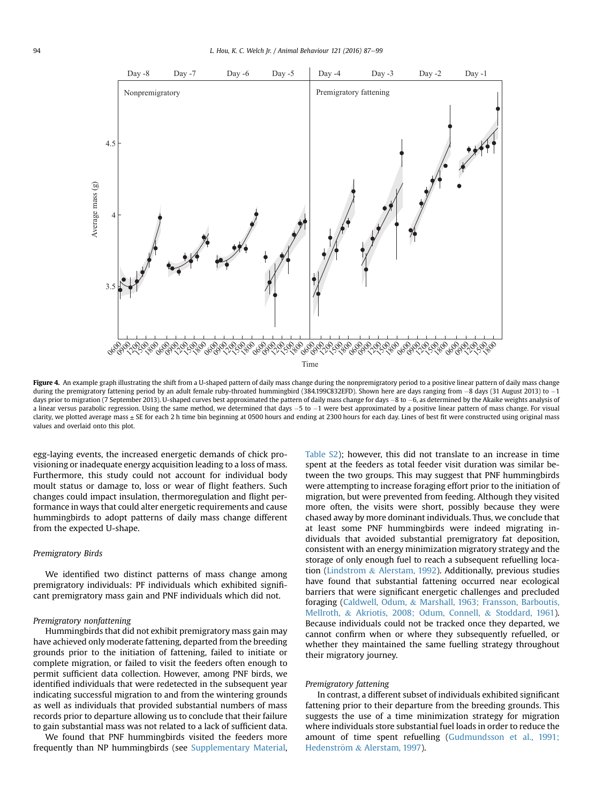<span id="page-7-0"></span>

Figure 4. An example graph illustrating the shift from a U-shaped pattern of daily mass change during the nonpremigratory period to a positive linear pattern of daily mass change during the premigratory fattening period by an adult female ruby-throated hummingbird (384.199C832EFD). Shown here are days ranging from  $-8$  days (31 August 2013) to  $-1$ days prior to migration (7 September 2013). U-shaped curves best approximated the pattern of daily mass change for days -8 to -6, as determined by the Akaike weights analysis of a linear versus parabolic regression. Using the same method, we determined that days -5 to -1 were best approximated by a positive linear pattern of mass change. For visual clarity, we plotted average mass  $\pm$  SE for each 2 h time bin beginning at 0500 hours and ending at 2300 hours for each day. Lines of best fit were constructed using original mass values and overlaid onto this plot.

egg-laying events, the increased energetic demands of chick provisioning or inadequate energy acquisition leading to a loss of mass. Furthermore, this study could not account for individual body moult status or damage to, loss or wear of flight feathers. Such changes could impact insulation, thermoregulation and flight performance in ways that could alter energetic requirements and cause hummingbirds to adopt patterns of daily mass change different from the expected U-shape.

# Premigratory Birds

We identified two distinct patterns of mass change among premigratory individuals: PF individuals which exhibited significant premigratory mass gain and PNF individuals which did not.

# Premigratory nonfattening

Hummingbirds that did not exhibit premigratory mass gain may have achieved only moderate fattening, departed from the breeding grounds prior to the initiation of fattening, failed to initiate or complete migration, or failed to visit the feeders often enough to permit sufficient data collection. However, among PNF birds, we identified individuals that were redetected in the subsequent year indicating successful migration to and from the wintering grounds as well as individuals that provided substantial numbers of mass records prior to departure allowing us to conclude that their failure to gain substantial mass was not related to a lack of sufficient data.

We found that PNF hummingbirds visited the feeders more frequently than NP hummingbirds (see Supplementary Material, Table S2); however, this did not translate to an increase in time spent at the feeders as total feeder visit duration was similar between the two groups. This may suggest that PNF hummingbirds were attempting to increase foraging effort prior to the initiation of migration, but were prevented from feeding. Although they visited more often, the visits were short, possibly because they were chased away by more dominant individuals. Thus, we conclude that at least some PNF hummingbirds were indeed migrating individuals that avoided substantial premigratory fat deposition, consistent with an energy minimization migratory strategy and the storage of only enough fuel to reach a subsequent refuelling location [\(Lindstrom](#page-11-0) & [Alerstam, 1992](#page-11-0)). Additionally, previous studies have found that substantial fattening occurred near ecological barriers that were significant energetic challenges and precluded foraging [\(Caldwell, Odum,](#page-11-0) & [Marshall, 1963; Fransson, Barboutis,](#page-11-0) [Mellroth,](#page-11-0) & [Akriotis, 2008; Odum, Connell,](#page-11-0) & [Stoddard, 1961\)](#page-11-0). Because individuals could not be tracked once they departed, we cannot confirm when or where they subsequently refuelled, or whether they maintained the same fuelling strategy throughout their migratory journey.

## Premigratory fattening

In contrast, a different subset of individuals exhibited significant fattening prior to their departure from the breeding grounds. This suggests the use of a time minimization strategy for migration where individuals store substantial fuel loads in order to reduce the amount of time spent refuelling [\(Gudmundsson et al., 1991;](#page-11-0) Hedenström & [Alerstam, 1997](#page-11-0)).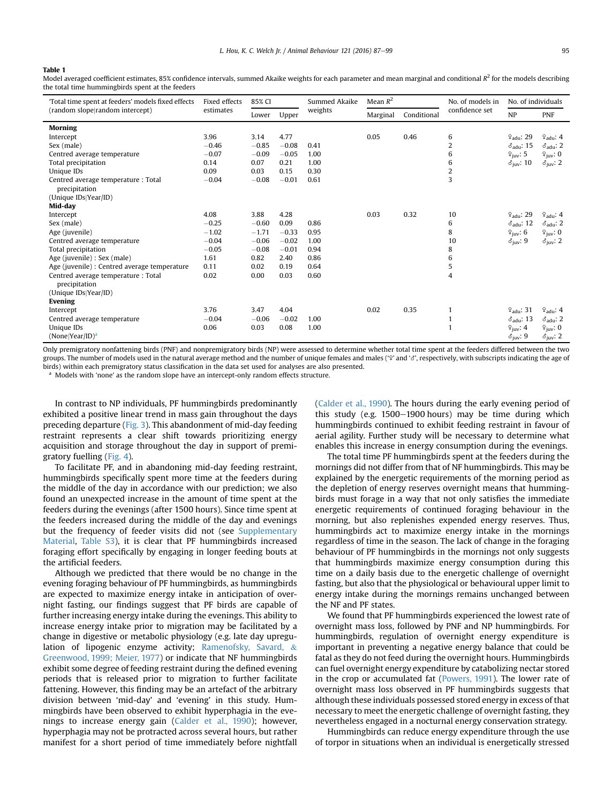## <span id="page-8-0"></span>Table 1

Model averaged coefficient estimates, 85% confidence intervals, summed Akaike weights for each parameter and mean marginal and conditional R<sup>2</sup> for the models describing the total time hummingbirds spent at the feeders

| 'Total time spent at feeders' models fixed effects   | Fixed effects | 85% CI  |         | Summed Akaike | Mean $R^2$ |             | No. of models in | No. of individuals         |                              |
|------------------------------------------------------|---------------|---------|---------|---------------|------------|-------------|------------------|----------------------------|------------------------------|
| (random slope random intercept)                      | estimates     | Lower   | Upper   | weights       | Marginal   | Conditional | confidence set   | NP                         | <b>PNF</b>                   |
| <b>Morning</b>                                       |               |         |         |               |            |             |                  |                            |                              |
| Intercept                                            | 3.96          | 3.14    | 4.77    |               | 0.05       | 0.46        | 6                | $9_{\text{adu}}$ : 29      | $\frac{6}{4}$ adu: 4         |
| Sex (male)                                           | $-0.46$       | $-0.85$ | $-0.08$ | 0.41          |            |             | $\overline{2}$   | $\sigma_{\text{adu}}$ : 15 | $\delta_{\text{adu}}$ : 2    |
| Centred average temperature                          | $-0.07$       | $-0.09$ | $-0.05$ | 1.00          |            |             | 6                | $\frac{6}{10}$ iuv: 5      | $\varphi$ <sub>juv</sub> : 0 |
| Total precipitation                                  | 0.14          | 0.07    | 0.21    | 1.00          |            |             | 6                | $\delta_{\rm juv}$ : 10    | $\delta_{\text{juv}}$ : 2    |
| Unique IDs                                           | 0.09          | 0.03    | 0.15    | 0.30          |            |             | $\frac{2}{3}$    |                            |                              |
| Centred average temperature : Total<br>precipitation | $-0.04$       | $-0.08$ | $-0.01$ | 0.61          |            |             |                  |                            |                              |
| (Unique IDs Year/ID)                                 |               |         |         |               |            |             |                  |                            |                              |
| Mid-day                                              |               |         |         |               |            |             |                  |                            |                              |
| Intercept                                            | 4.08          | 3.88    | 4.28    |               | 0.03       | 0.32        | 10               | $9_{\text{adu}}$ : 29      | $\frac{6}{4}$ adu: 4         |
| Sex (male)                                           | $-0.25$       | $-0.60$ | 0.09    | 0.86          |            |             | 6                | $\delta_{\text{adu}}$ : 12 | $\delta_{\text{adu}}$ : 2    |
| Age (juvenile)                                       | $-1.02$       | $-1.71$ | $-0.33$ | 0.95          |            |             | 8                | $9_{\text{juv}}$ : 6       | $9_{\text{juv}}$ : 0         |
| Centred average temperature                          | $-0.04$       | $-0.06$ | $-0.02$ | 1.00          |            |             | 10               | $\delta_{\text{juv}}$ : 9  | $\delta_{\text{juv}}$ : 2    |
| Total precipitation                                  | $-0.05$       | $-0.08$ | $-0.01$ | 0.94          |            |             | 8                |                            |                              |
| Age (juvenile) : Sex (male)                          | 1.61          | 0.82    | 2.40    | 0.86          |            |             | 6                |                            |                              |
| Age (juvenile) : Centred average temperature         | 0.11          | 0.02    | 0.19    | 0.64          |            |             | 5                |                            |                              |
| Centred average temperature : Total<br>precipitation | 0.02          | 0.00    | 0.03    | 0.60          |            |             | $\overline{4}$   |                            |                              |
| (Unique IDs Year/ID)                                 |               |         |         |               |            |             |                  |                            |                              |
| Evening                                              |               |         |         |               |            |             |                  |                            |                              |
| Intercept                                            | 3.76          | 3.47    | 4.04    |               | 0.02       | 0.35        |                  | $\frac{6}{4}$ adu: 31      | $\frac{6}{4}$ adu: 4         |
| Centred average temperature                          | $-0.04$       | $-0.06$ | $-0.02$ | 1.00          |            |             |                  | $\delta_{\text{adu}}$ : 13 | $\delta_{\text{adu}}$ : 2    |
| Unique IDs                                           | 0.06          | 0.03    | 0.08    | 1.00          |            |             |                  | $\frac{6}{1}$ iuv: 4       | $\varphi_{\text{juv}}$ : 0   |
| $(None Year/ID)^a$                                   |               |         |         |               |            |             |                  | $\delta$ juv: 9            | $\delta$ juv: 2              |

Only premigratory nonfattening birds (PNF) and nonpremigratory birds (NP) were assessed to determine whether total time spent at the feeders differed between the two groups. The number of models used in the natural average method and the number of unique females and males ('?' and 'o', respectively, with subscripts indicating the age of birds) within each premigratory status classification in the data set used for analyses are also presented.

<sup>a</sup> Models with 'none' as the random slope have an intercept-only random effects structure.

In contrast to NP individuals, PF hummingbirds predominantly exhibited a positive linear trend in mass gain throughout the days preceding departure [\(Fig. 3\)](#page-6-0). This abandonment of mid-day feeding restraint represents a clear shift towards prioritizing energy acquisition and storage throughout the day in support of premigratory fuelling ([Fig. 4\)](#page-7-0).

To facilitate PF, and in abandoning mid-day feeding restraint, hummingbirds specifically spent more time at the feeders during the middle of the day in accordance with our prediction; we also found an unexpected increase in the amount of time spent at the feeders during the evenings (after 1500 hours). Since time spent at the feeders increased during the middle of the day and evenings but the frequency of feeder visits did not (see Supplementary Material, Table S3), it is clear that PF hummingbirds increased foraging effort specifically by engaging in longer feeding bouts at the artificial feeders.

Although we predicted that there would be no change in the evening foraging behaviour of PF hummingbirds, as hummingbirds are expected to maximize energy intake in anticipation of overnight fasting, our findings suggest that PF birds are capable of further increasing energy intake during the evenings. This ability to increase energy intake prior to migration may be facilitated by a change in digestive or metabolic physiology (e.g. late day upregulation of lipogenic enzyme activity; [Ramenofsky, Savard,](#page-12-0) & [Greenwood, 1999; Meier, 1977\)](#page-12-0) or indicate that NF hummingbirds exhibit some degree of feeding restraint during the defined evening periods that is released prior to migration to further facilitate fattening. However, this finding may be an artefact of the arbitrary division between 'mid-day' and 'evening' in this study. Hummingbirds have been observed to exhibit hyperphagia in the evenings to increase energy gain ([Calder et al., 1990](#page-11-0)); however, hyperphagia may not be protracted across several hours, but rather manifest for a short period of time immediately before nightfall

([Calder et al., 1990](#page-11-0)). The hours during the early evening period of this study (e.g.  $1500-1900$  hours) may be time during which hummingbirds continued to exhibit feeding restraint in favour of aerial agility. Further study will be necessary to determine what enables this increase in energy consumption during the evenings.

The total time PF hummingbirds spent at the feeders during the mornings did not differ from that of NF hummingbirds. This may be explained by the energetic requirements of the morning period as the depletion of energy reserves overnight means that hummingbirds must forage in a way that not only satisfies the immediate energetic requirements of continued foraging behaviour in the morning, but also replenishes expended energy reserves. Thus, hummingbirds act to maximize energy intake in the mornings regardless of time in the season. The lack of change in the foraging behaviour of PF hummingbirds in the mornings not only suggests that hummingbirds maximize energy consumption during this time on a daily basis due to the energetic challenge of overnight fasting, but also that the physiological or behavioural upper limit to energy intake during the mornings remains unchanged between the NF and PF states.

We found that PF hummingbirds experienced the lowest rate of overnight mass loss, followed by PNF and NP hummingbirds. For hummingbirds, regulation of overnight energy expenditure is important in preventing a negative energy balance that could be fatal as they do not feed during the overnight hours. Hummingbirds can fuel overnight energy expenditure by catabolizing nectar stored in the crop or accumulated fat ([Powers, 1991\)](#page-12-0). The lower rate of overnight mass loss observed in PF hummingbirds suggests that although these individuals possessed stored energy in excess of that necessary to meet the energetic challenge of overnight fasting, they nevertheless engaged in a nocturnal energy conservation strategy.

Hummingbirds can reduce energy expenditure through the use of torpor in situations when an individual is energetically stressed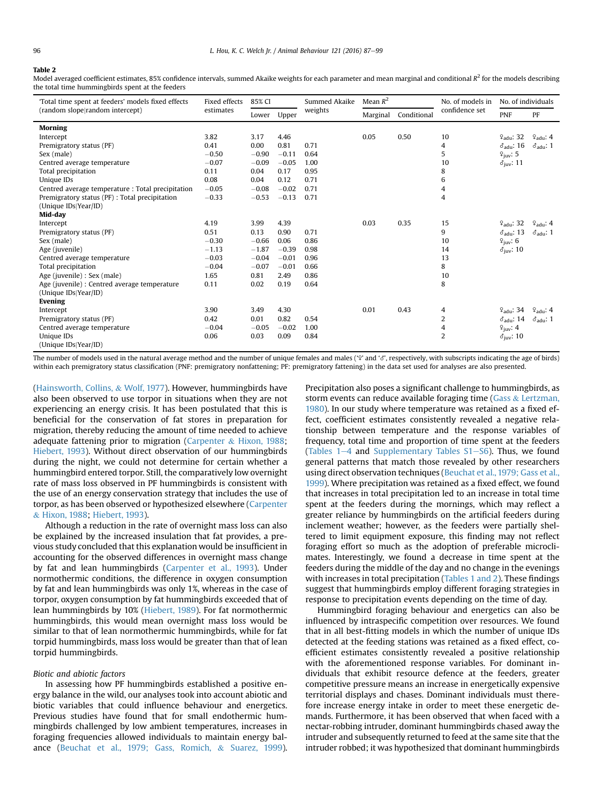## <span id="page-9-0"></span>Table 2

Model averaged coefficient estimates, 85% confidence intervals, summed Akaike weights for each parameter and mean marginal and conditional R<sup>2</sup> for the models describing the total time hummingbirds spent at the feeders

| 'Total time spent at feeders' models fixed effects | Fixed effects | 85% CI  |         | Summed Akaike | Mean $R^2$ |             | No. of models in | No. of individuals           |                                  |
|----------------------------------------------------|---------------|---------|---------|---------------|------------|-------------|------------------|------------------------------|----------------------------------|
| (random slope random intercept)                    | estimates     | Lower   | Upper   | weights       | Marginal   | Conditional | confidence set   | <b>PNF</b>                   | PF                               |
| <b>Morning</b>                                     |               |         |         |               |            |             |                  |                              |                                  |
| Intercept                                          | 3.82          | 3.17    | 4.46    |               | 0.05       | 0.50        | 10               | $\frac{6}{3}$ adu: 32        | $\frac{6}{4}$ adu: 4             |
| Premigratory status (PF)                           | 0.41          | 0.00    | 0.81    | 0.71          |            |             | 4                | $\delta_{\text{adu}}$ : 16   | $\sigma_{\text{adu}}$ : 1        |
| Sex (male)                                         | $-0.50$       | $-0.90$ | $-0.11$ | 0.64          |            |             | 5                | $\frac{6}{10}$ iuv: 5        |                                  |
| Centred average temperature                        | $-0.07$       | $-0.09$ | $-0.05$ | 1.00          |            |             | 10               | $\delta_{\text{juv}}$ : 11   |                                  |
| Total precipitation                                | 0.11          | 0.04    | 0.17    | 0.95          |            |             | 8                |                              |                                  |
| Unique IDs                                         | 0.08          | 0.04    | 0.12    | 0.71          |            |             | 6                |                              |                                  |
| Centred average temperature : Total precipitation  | $-0.05$       | $-0.08$ | $-0.02$ | 0.71          |            |             | 4                |                              |                                  |
| Premigratory status (PF) : Total precipitation     | $-0.33$       | $-0.53$ | $-0.13$ | 0.71          |            |             | 4                |                              |                                  |
| (Unique IDs Year/ID)                               |               |         |         |               |            |             |                  |                              |                                  |
| Mid-day                                            |               |         |         |               |            |             |                  |                              |                                  |
| Intercept                                          | 4.19          | 3.99    | 4.39    |               | 0.03       | 0.35        | 15               | $9_{\text{adu}}$ : 32        | $\frac{6}{4}$ adu: 4             |
| Premigratory status (PF)                           | 0.51          | 0.13    | 0.90    | 0.71          |            |             | 9                | $\delta_{\text{adu}}$ : 13   | $\delta_{\text{adu}}$ : 1        |
| Sex (male)                                         | $-0.30$       | $-0.66$ | 0.06    | 0.86          |            |             | 10               | $\frac{6}{2}$ iuv: 6         |                                  |
| Age (juvenile)                                     | $-1.13$       | $-1.87$ | $-0.39$ | 0.98          |            |             | 14               | $\delta_{\text{juv}}$ : 10   |                                  |
| Centred average temperature                        | $-0.03$       | $-0.04$ | $-0.01$ | 0.96          |            |             | 13               |                              |                                  |
| Total precipitation                                | $-0.04$       | $-0.07$ | $-0.01$ | 0.66          |            |             | 8                |                              |                                  |
| Age (juvenile) : Sex (male)                        | 1.65          | 0.81    | 2.49    | 0.86          |            |             | 10               |                              |                                  |
| Age (juvenile) : Centred average temperature       | 0.11          | 0.02    | 0.19    | 0.64          |            |             | 8                |                              |                                  |
| (Unique IDs Year/ID)                               |               |         |         |               |            |             |                  |                              |                                  |
| Evening                                            |               |         |         |               |            |             |                  |                              |                                  |
| Intercept                                          | 3.90          | 3.49    | 4.30    |               | 0.01       | 0.43        | 4                | $9_{\text{adu}}$ : 34        | $\frac{6}{2}$ <sub>adu</sub> : 4 |
| Premigratory status (PF)                           | 0.42          | 0.01    | 0.82    | 0.54          |            |             | $\overline{2}$   | $\delta_{\text{adu}}$ : 14   | $\delta_{\text{adu}}$ : 1        |
| Centred average temperature                        | $-0.04$       | $-0.05$ | $-0.02$ | 1.00          |            |             | 4                | $\frac{6}{1}$ iuv: 4         |                                  |
| Unique IDs                                         | 0.06          | 0.03    | 0.09    | 0.84          |            |             | 2                | $\delta$ <sub>juv</sub> : 10 |                                  |
| (Unique IDs Year/ID)                               |               |         |         |               |            |             |                  |                              |                                  |

The number of models used in the natural average method and the number of unique females and males ('?' and 'o', respectively, with subscripts indicating the age of birds) within each premigratory status classification (PNF: premigratory nonfattening; PF: premigratory fattening) in the data set used for analyses are also presented.

([Hainsworth, Collins,](#page-11-0) & [Wolf, 1977\)](#page-11-0). However, hummingbirds have also been observed to use torpor in situations when they are not experiencing an energy crisis. It has been postulated that this is beneficial for the conservation of fat stores in preparation for migration, thereby reducing the amount of time needed to achieve adequate fattening prior to migration ([Carpenter](#page-11-0) & [Hixon, 1988](#page-11-0); [Hiebert, 1993](#page-11-0)). Without direct observation of our hummingbirds during the night, we could not determine for certain whether a hummingbird entered torpor. Still, the comparatively low overnight rate of mass loss observed in PF hummingbirds is consistent with the use of an energy conservation strategy that includes the use of torpor, as has been observed or hypothesized elsewhere ([Carpenter](#page-11-0) & [Hixon, 1988](#page-11-0); [Hiebert, 1993](#page-11-0)).

Although a reduction in the rate of overnight mass loss can also be explained by the increased insulation that fat provides, a previous study concluded that this explanation would be insufficient in accounting for the observed differences in overnight mass change by fat and lean hummingbirds [\(Carpenter et al., 1993](#page-11-0)). Under normothermic conditions, the difference in oxygen consumption by fat and lean hummingbirds was only 1%, whereas in the case of torpor, oxygen consumption by fat hummingbirds exceeded that of lean hummingbirds by 10% ([Hiebert, 1989](#page-11-0)). For fat normothermic hummingbirds, this would mean overnight mass loss would be similar to that of lean normothermic hummingbirds, while for fat torpid hummingbirds, mass loss would be greater than that of lean torpid hummingbirds.

## Biotic and abiotic factors

In assessing how PF hummingbirds established a positive energy balance in the wild, our analyses took into account abiotic and biotic variables that could influence behaviour and energetics. Previous studies have found that for small endothermic hummingbirds challenged by low ambient temperatures, increases in foraging frequencies allowed individuals to maintain energy balance ([Beuchat et al., 1979; Gass, Romich,](#page-11-0) & [Suarez, 1999\)](#page-11-0). Precipitation also poses a significant challenge to hummingbirds, as storm events can reduce available foraging time [\(Gass](#page-11-0) & [Lertzman,](#page-11-0) [1980](#page-11-0)). In our study where temperature was retained as a fixed effect, coefficient estimates consistently revealed a negative relationship between temperature and the response variables of frequency, total time and proportion of time spent at the feeders (Tables  $1-4$  $1-4$  and Supplementary Tables  $S1-S6$ ). Thus, we found general patterns that match those revealed by other researchers using direct observation techniques [\(Beuchat et al., 1979; Gass et al.,](#page-11-0) [1999](#page-11-0)). Where precipitation was retained as a fixed effect, we found that increases in total precipitation led to an increase in total time spent at the feeders during the mornings, which may reflect a greater reliance by hummingbirds on the artificial feeders during inclement weather; however, as the feeders were partially sheltered to limit equipment exposure, this finding may not reflect foraging effort so much as the adoption of preferable microclimates. Interestingly, we found a decrease in time spent at the feeders during the middle of the day and no change in the evenings with increases in total precipitation [\(Tables 1 and 2\)](#page-8-0). These findings suggest that hummingbirds employ different foraging strategies in response to precipitation events depending on the time of day.

Hummingbird foraging behaviour and energetics can also be influenced by intraspecific competition over resources. We found that in all best-fitting models in which the number of unique IDs detected at the feeding stations was retained as a fixed effect, coefficient estimates consistently revealed a positive relationship with the aforementioned response variables. For dominant individuals that exhibit resource defence at the feeders, greater competitive pressure means an increase in energetically expensive territorial displays and chases. Dominant individuals must therefore increase energy intake in order to meet these energetic demands. Furthermore, it has been observed that when faced with a nectar-robbing intruder, dominant hummingbirds chased away the intruder and subsequently returned to feed at the same site that the intruder robbed; it was hypothesized that dominant hummingbirds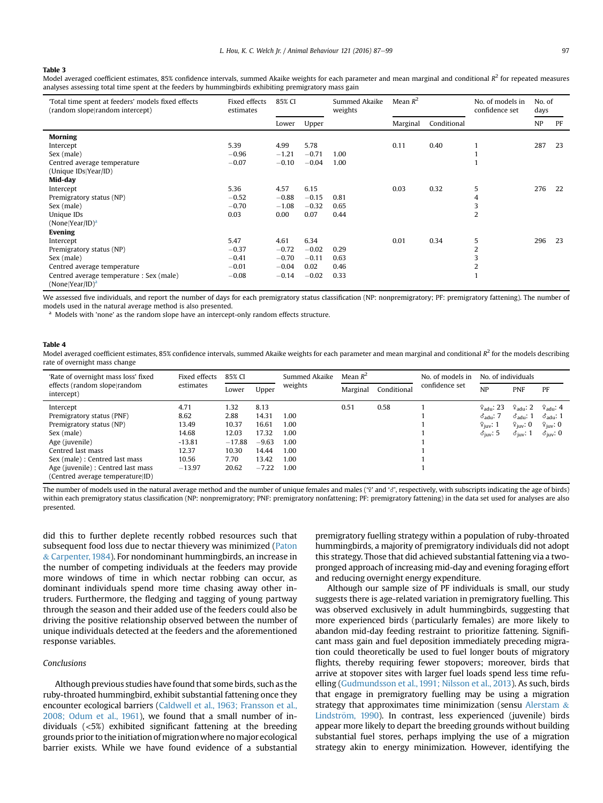## <span id="page-10-0"></span>Table 3

Model averaged coefficient estimates, 85% confidence intervals, summed Akaike weights for each parameter and mean marginal and conditional R<sup>2</sup> for repeated measures analyses assessing total time spent at the feeders by hummingbirds exhibiting premigratory mass gain

| 'Total time spent at feeders' models fixed effects<br>(random slope random intercept) | Fixed effects<br>estimates | 85% CI  |         | Mean $R^2$<br>Summed Akaike<br>weights |          | No. of models in<br>confidence set | No. of<br>days |     |    |
|---------------------------------------------------------------------------------------|----------------------------|---------|---------|----------------------------------------|----------|------------------------------------|----------------|-----|----|
|                                                                                       |                            | Lower   | Upper   |                                        | Marginal | Conditional                        |                | NP  | PF |
| <b>Morning</b>                                                                        |                            |         |         |                                        |          |                                    |                |     |    |
| Intercept                                                                             | 5.39                       | 4.99    | 5.78    |                                        | 0.11     | 0.40                               |                | 287 | 23 |
| Sex (male)                                                                            | $-0.96$                    | $-1.21$ | $-0.71$ | 1.00                                   |          |                                    |                |     |    |
| Centred average temperature                                                           | $-0.07$                    | $-0.10$ | $-0.04$ | 1.00                                   |          |                                    |                |     |    |
| (Unique IDs Year/ID)                                                                  |                            |         |         |                                        |          |                                    |                |     |    |
| Mid-day                                                                               |                            |         |         |                                        |          |                                    |                |     |    |
| Intercept                                                                             | 5.36                       | 4.57    | 6.15    |                                        | 0.03     | 0.32                               | 5              | 276 | 22 |
| Premigratory status (NP)                                                              | $-0.52$                    | $-0.88$ | $-0.15$ | 0.81                                   |          |                                    | 4              |     |    |
| Sex (male)                                                                            | $-0.70$                    | $-1.08$ | $-0.32$ | 0.65                                   |          |                                    | 3              |     |    |
| Unique IDs                                                                            | 0.03                       | 0.00    | 0.07    | 0.44                                   |          |                                    | $\overline{2}$ |     |    |
| $(None Year/ID)^a$                                                                    |                            |         |         |                                        |          |                                    |                |     |    |
| Evening                                                                               |                            |         |         |                                        |          |                                    |                |     |    |
| Intercept                                                                             | 5.47                       | 4.61    | 6.34    |                                        | 0.01     | 0.34                               | 5              | 296 | 23 |
| Premigratory status (NP)                                                              | $-0.37$                    | $-0.72$ | $-0.02$ | 0.29                                   |          |                                    | $\overline{2}$ |     |    |
| Sex (male)                                                                            | $-0.41$                    | $-0.70$ | $-0.11$ | 0.63                                   |          |                                    | 3              |     |    |
| Centred average temperature                                                           | $-0.01$                    | $-0.04$ | 0.02    | 0.46                                   |          |                                    | $\overline{2}$ |     |    |
| Centred average temperature : Sex (male)<br>$(None Year/ID)^a$                        | $-0.08$                    | $-0.14$ | $-0.02$ | 0.33                                   |          |                                    |                |     |    |

We assessed five individuals, and report the number of days for each premigratory status classification (NP: nonpremigratory; PF: premigratory fattening). The number of models used in the natural average method is also presented.

Models with 'none' as the random slope have an intercept-only random effects structure.

#### Table 4

Model averaged coefficient estimates, 85% confidence intervals, summed Akaike weights for each parameter and mean marginal and conditional  $R^2$  for the models describing rate of overnight mass change

| 'Rate of overnight mass loss' fixed                                    | Fixed effects               | 85% CI   |          | Summed Akaike | Mean $R^2$     |      | No. of models in | No. of individuals        |                           |                                  |
|------------------------------------------------------------------------|-----------------------------|----------|----------|---------------|----------------|------|------------------|---------------------------|---------------------------|----------------------------------|
| effects (random slope random<br>intercept)                             | estimates<br>Upper<br>Lower | weights  | Marginal | Conditional   | confidence set | NP   | <b>PNF</b>       | PF                        |                           |                                  |
| Intercept                                                              | 4.71                        | 1.32     | 8.13     |               | 0.51           | 0.58 |                  | $\frac{6}{4}$ adu: 23     | $\frac{6}{4}$ adu: 2      | $\frac{6}{2}$ <sub>adu</sub> : 4 |
| Premigratory status (PNF)                                              | 8.62                        | 2.88     | 14.31    | 1.00          |                |      |                  | $\delta_{\text{adu}}$ : 7 | $\delta_{\text{adu}}$ : 1 | $\delta_{\text{adu}}$ : 1        |
| Premigratory status (NP)                                               | 13.49                       | 10.37    | 16.61    | 1.00          |                |      |                  | $\frac{6}{1}$ iuv: 1      | $9_{\text{inv}}$ : 0      | $\frac{1}{2}$ iuv: 0             |
| Sex (male)                                                             | 14.68                       | 12.03    | 17.32    | 1.00          |                |      |                  | $\delta_{\text{iuv}}$ : 5 | $\delta$ juv: 1           | $\delta_{\rm inv}$ : 0           |
| Age (juvenile)                                                         | $-13.81$                    | $-17.88$ | $-9.63$  | 1.00          |                |      |                  |                           |                           |                                  |
| Centred last mass                                                      | 12.37                       | 10.30    | 14.44    | 1.00          |                |      |                  |                           |                           |                                  |
| Sex (male) : Centred last mass                                         | 10.56                       | 7.70     | 13.42    | 1.00          |                |      |                  |                           |                           |                                  |
| Age (juvenile) : Centred last mass<br>(Centred average temperature ID) | $-13.97$                    | 20.62    | $-7.22$  | 1.00          |                |      |                  |                           |                           |                                  |
|                                                                        |                             |          |          |               |                |      |                  |                           |                           |                                  |

The number of models used in the natural average method and the number of unique females and males ('?' and 'o', respectively, with subscripts indicating the age of birds) within each premigratory status classification (NP: nonpremigratory; PNF: premigratory nonfattening; PF: premigratory fattening) in the data set used for analyses are also presented.

did this to further deplete recently robbed resources such that subsequent food loss due to nectar thievery was minimized [\(Paton](#page-12-0) & [Carpenter, 1984](#page-12-0)). For nondominant hummingbirds, an increase in the number of competing individuals at the feeders may provide more windows of time in which nectar robbing can occur, as dominant individuals spend more time chasing away other intruders. Furthermore, the fledging and tagging of young partway through the season and their added use of the feeders could also be driving the positive relationship observed between the number of unique individuals detected at the feeders and the aforementioned response variables.

# Conclusions

Although previous studies have found that some birds, such as the ruby-throated hummingbird, exhibit substantial fattening once they encounter ecological barriers [\(Caldwell et al., 1963; Fransson et al.,](#page-11-0) [2008; Odum et al., 1961\)](#page-11-0), we found that a small number of individuals (<5%) exhibited significant fattening at the breeding grounds prior to the initiation of migration where no major ecological barrier exists. While we have found evidence of a substantial premigratory fuelling strategy within a population of ruby-throated hummingbirds, a majority of premigratory individuals did not adopt this strategy. Those that did achieved substantial fattening via a twopronged approach of increasing mid-day and evening foraging effort and reducing overnight energy expenditure.

Although our sample size of PF individuals is small, our study suggests there is age-related variation in premigratory fuelling. This was observed exclusively in adult hummingbirds, suggesting that more experienced birds (particularly females) are more likely to abandon mid-day feeding restraint to prioritize fattening. Significant mass gain and fuel deposition immediately preceding migration could theoretically be used to fuel longer bouts of migratory flights, thereby requiring fewer stopovers; moreover, birds that arrive at stopover sites with larger fuel loads spend less time refuelling [\(Gudmundsson et al., 1991; Nilsson et al., 2013](#page-11-0)). As such, birds that engage in premigratory fuelling may be using a migration strategy that approximates time minimization (sensu [Alerstam](#page-11-0)  $\&$ Lindström, 1990). In contrast, less experienced (juvenile) birds appear more likely to depart the breeding grounds without building substantial fuel stores, perhaps implying the use of a migration strategy akin to energy minimization. However, identifying the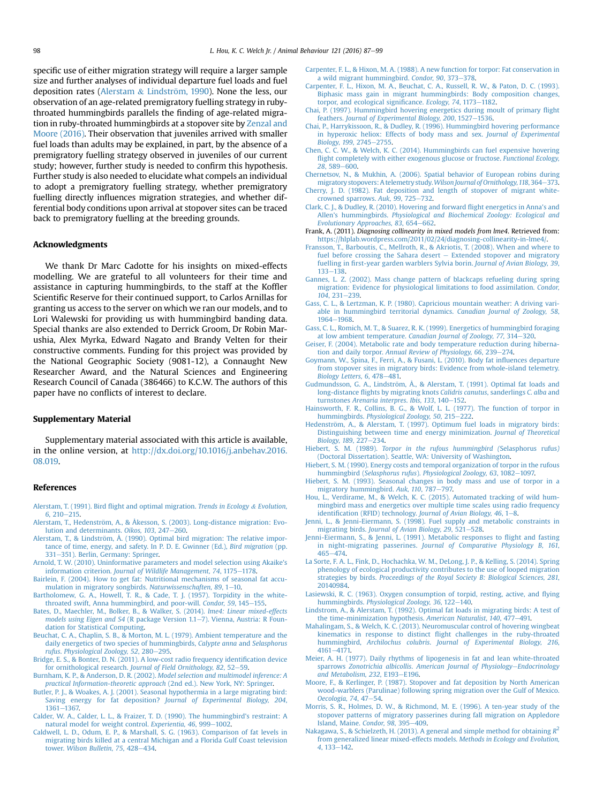<span id="page-11-0"></span>specific use of either migration strategy will require a larger sample size and further analyses of individual departure fuel loads and fuel deposition rates (Alerstam & Lindström, 1990). None the less, our observation of an age-related premigratory fuelling strategy in rubythroated hummingbirds parallels the finding of age-related migration in ruby-throated hummingbirds at a stopover site by [Zenzal and](#page-12-0) [Moore \(2016\)](#page-12-0). Their observation that juveniles arrived with smaller fuel loads than adults may be explained, in part, by the absence of a premigratory fuelling strategy observed in juveniles of our current study; however, further study is needed to confirm this hypothesis. Further study is also needed to elucidate what compels an individual to adopt a premigratory fuelling strategy, whether premigratory fuelling directly influences migration strategies, and whether differential body conditions upon arrival at stopover sites can be traced back to premigratory fuelling at the breeding grounds.

# Acknowledgments

We thank Dr Marc Cadotte for his insights on mixed-effects modelling. We are grateful to all volunteers for their time and assistance in capturing hummingbirds, to the staff at the Koffler Scientific Reserve for their continued support, to Carlos Arnillas for granting us access to the server on which we ran our models, and to Lori Walewski for providing us with hummingbird banding data. Special thanks are also extended to Derrick Groom, Dr Robin Marushia, Alex Myrka, Edward Nagato and Brandy Velten for their constructive comments. Funding for this project was provided by the National Geographic Society (9081-12), a Connaught New Researcher Award, and the Natural Sciences and Engineering Research Council of Canada (386466) to K.C.W. The authors of this paper have no conflicts of interest to declare.

# Supplementary Material

Supplementary material associated with this article is available, in the online version, at [http://dx.doi.org/10.1016/j.anbehav.2016.](http://dx.doi.org/10.1016/j.anbehav.2016.08.019) [08.019.](http://dx.doi.org/10.1016/j.anbehav.2016.08.019)

# References

- Alerstam, T. (1991). Bird fl[ight and optimal migration.](http://refhub.elsevier.com/S0003-3472(16)30192-0/sref1) Trends in Ecology & [Evolution,](http://refhub.elsevier.com/S0003-3472(16)30192-0/sref1)  $6, 210 - 215.$  $6, 210 - 215.$  $6, 210 - 215.$  $6, 210 - 215.$
- Alerstam, T., Hedenström, A., & Åkesson, S. (2003). Long-distance migration: Evo[lution and determinants.](http://refhub.elsevier.com/S0003-3472(16)30192-0/sref2) Oikos,  $103$ ,  $247-260$ .
- Alerstam, T., & Lindström, Å. (1990). Optimal bird migration: The relative impor[tance of time, energy, and safety. In P. D. E. Gwinner \(Ed.\),](http://refhub.elsevier.com/S0003-3472(16)30192-0/sref3) Bird migration (pp. [331](http://refhub.elsevier.com/S0003-3472(16)30192-0/sref3)-[351\). Berlin, Germany: Springer.](http://refhub.elsevier.com/S0003-3472(16)30192-0/sref3)
- [Arnold, T. W. \(2010\). Uninformative parameters and model selection using Akaike's](http://refhub.elsevier.com/S0003-3472(16)30192-0/sref4)<br>information criterion. [Journal of Wildlife Management, 74](http://refhub.elsevier.com/S0003-3472(16)30192-0/sref4), 1175–[1178.](http://refhub.elsevier.com/S0003-3472(16)30192-0/sref4)
- [Bairlein, F. \(2004\). How to get fat: Nutritional mechanisms of seasonal fat accu](http://refhub.elsevier.com/S0003-3472(16)30192-0/sref5)[mulation in migratory songbirds.](http://refhub.elsevier.com/S0003-3472(16)30192-0/sref5) Naturwissenschaften, 89,  $1-10$ .
- [Bartholomew, G. A., Howell, T. R., & Cade, T. J. \(1957\). Torpidity in the white](http://refhub.elsevier.com/S0003-3472(16)30192-0/sref6)[throated swift, Anna hummingbird, and poor-will.](http://refhub.elsevier.com/S0003-3472(16)30192-0/sref6) Condor, 59, 145-[155.](http://refhub.elsevier.com/S0003-3472(16)30192-0/sref6)
- [Bates, D., Maechler, M., Bolker, B., & Walker, S. \(2014\).](http://refhub.elsevier.com/S0003-3472(16)30192-0/sref7) lme4: Linear mixed-effects [models using Eigen and S4](http://refhub.elsevier.com/S0003-3472(16)30192-0/sref7) (R package Version 1.1-[7\). Vienna, Austria: R Foun](http://refhub.elsevier.com/S0003-3472(16)30192-0/sref7)[dation for Statistical Computing](http://refhub.elsevier.com/S0003-3472(16)30192-0/sref7).
- [Beuchat, C. A., Chaplin, S. B., & Morton, M. L. \(1979\). Ambient temperature and the](http://refhub.elsevier.com/S0003-3472(16)30192-0/sref8) [daily energetics of two species of hummingbirds,](http://refhub.elsevier.com/S0003-3472(16)30192-0/sref8) Calypte anna and Selasphorus rufus. [Physiological Zoology, 52](http://refhub.elsevier.com/S0003-3472(16)30192-0/sref8), 280-[295.](http://refhub.elsevier.com/S0003-3472(16)30192-0/sref8)
- [Bridge, E. S., & Bonter, D. N. \(2011\). A low-cost radio frequency identi](http://refhub.elsevier.com/S0003-3472(16)30192-0/sref9)fication device for ornithological research. [Journal of Field Ornithology, 82](http://refhub.elsevier.com/S0003-3472(16)30192-0/sref9), 52-[59.](http://refhub.elsevier.com/S0003-3472(16)30192-0/sref9)
- Burnham, K. P., & Anderson, D. R. (2002). [Model selection and multimodel inference: A](http://refhub.elsevier.com/S0003-3472(16)30192-0/sref10) [practical Information-theoretic approach](http://refhub.elsevier.com/S0003-3472(16)30192-0/sref10) (2nd ed.). New York, NY: Springer.
- [Butler, P. J., & Woakes, A. J. \(2001\). Seasonal hypothermia in a large migrating bird:](http://refhub.elsevier.com/S0003-3472(16)30192-0/sref11) Saving energy for fat deposition? [Journal of Experimental Biology, 204](http://refhub.elsevier.com/S0003-3472(16)30192-0/sref11), [1361](http://refhub.elsevier.com/S0003-3472(16)30192-0/sref11)-[1367.](http://refhub.elsevier.com/S0003-3472(16)30192-0/sref11)
- [Calder, W. A., Calder, L. L., & Fraizer, T. D. \(1990\). The hummingbird's restraint: A](http://refhub.elsevier.com/S0003-3472(16)30192-0/sref12) [natural model for weight control.](http://refhub.elsevier.com/S0003-3472(16)30192-0/sref12) Experientia, 46, 999-[1002.](http://refhub.elsevier.com/S0003-3472(16)30192-0/sref12)
- [Caldwell, L. D., Odum, E. P., & Marshall, S. G. \(1963\). Comparison of fat levels in](http://refhub.elsevier.com/S0003-3472(16)30192-0/sref13) [migrating birds killed at a central Michigan and a Florida Gulf Coast television](http://refhub.elsevier.com/S0003-3472(16)30192-0/sref13) tower. [Wilson Bulletin, 75](http://refhub.elsevier.com/S0003-3472(16)30192-0/sref13), 428-[434](http://refhub.elsevier.com/S0003-3472(16)30192-0/sref13).
- [Carpenter, F. L., & Hixon, M. A. \(1988\). A new function for torpor: Fat conservation in](http://refhub.elsevier.com/S0003-3472(16)30192-0/sref14) [a wild migrant hummingbird.](http://refhub.elsevier.com/S0003-3472(16)30192-0/sref14) Condor, 90, 373-[378](http://refhub.elsevier.com/S0003-3472(16)30192-0/sref14).
- [Carpenter, F. L., Hixon, M. A., Beuchat, C. A., Russell, R. W., & Paton, D. C. \(1993\).](http://refhub.elsevier.com/S0003-3472(16)30192-0/sref15) [Biphasic mass gain in migrant hummingbirds: Body composition changes,](http://refhub.elsevier.com/S0003-3472(16)30192-0/sref15) [torpor, and ecological signi](http://refhub.elsevier.com/S0003-3472(16)30192-0/sref15)ficance. Ecology,  $74$ ,  $1173-1182$ .
- [Chai, P. \(1997\). Hummingbird hovering energetics during moult of primary](http://refhub.elsevier.com/S0003-3472(16)30192-0/sref16) flight feathers. Journal of Experimental Biology,  $200$ ,  $1527-1536$  $1527-1536$ .
- [Chai, P., Harrykissoon, R., & Dudley, R. \(1996\). Hummingbird hovering performance](http://refhub.elsevier.com/S0003-3472(16)30192-0/sref17) [in hyperoxic heliox: Effects of body mass and sex.](http://refhub.elsevier.com/S0003-3472(16)30192-0/sref17) Journal of Experimental  $Biology, 199, 2745 - 2755.$  $Biology, 199, 2745 - 2755.$  $Biology, 199, 2745 - 2755.$
- [Chen, C. C. W., & Welch, K. C. \(2014\). Hummingbirds can fuel expensive hovering](http://refhub.elsevier.com/S0003-3472(16)30192-0/sref18) fl[ight completely with either exogenous glucose or fructose.](http://refhub.elsevier.com/S0003-3472(16)30192-0/sref18) Functional Ecology,  $28.589 - 600.$  $28.589 - 600.$
- [Chernetsov, N., & Mukhin, A. \(2006\). Spatial behavior of European robins during](http://refhub.elsevier.com/S0003-3472(16)30192-0/sref19) [migratory stopovers: A telemetry study.](http://refhub.elsevier.com/S0003-3472(16)30192-0/sref19) Wilson Journal of Ornithology, 118, 364-[373](http://refhub.elsevier.com/S0003-3472(16)30192-0/sref19).
- [Cherry, J. D. \(1982\). Fat deposition and length of stopover of migrant white](http://refhub.elsevier.com/S0003-3472(16)30192-0/sref20) $c$ rowned sparrows. Auk. 99, 725–[732](http://refhub.elsevier.com/S0003-3472(16)30192-0/sref20).
- [Clark, C. J., & Dudley, R. \(2010\). Hovering and forward](http://refhub.elsevier.com/S0003-3472(16)30192-0/sref21) flight energetics in Anna's and Allen's hummingbirds. [Physiological and Biochemical Zoology: Ecological and](http://refhub.elsevier.com/S0003-3472(16)30192-0/sref21) [Evolutionary Approaches, 83](http://refhub.elsevier.com/S0003-3472(16)30192-0/sref21), 654-[662.](http://refhub.elsevier.com/S0003-3472(16)30192-0/sref21)
- Frank, A. (2011). Diagnosing collinearity in mixed models from lme4. Retrieved from: [https://hlplab.wordpress.com/2011/02/24/diagnosing-collinearity-in-lme4/.](https://hlplab.wordpress.com/2011/02/24/diagnosing-collinearity-in-lme4/)
- [Fransson, T., Barboutis, C., Mellroth, R., & Akriotis, T. \(2008\). When and where to](http://refhub.elsevier.com/S0003-3472(16)30192-0/sref24) [fuel before crossing the Sahara desert](http://refhub.elsevier.com/S0003-3472(16)30192-0/sref24)  $-$  [Extended stopover and migratory](http://refhub.elsevier.com/S0003-3472(16)30192-0/sref24) fuelling in fi[rst-year garden warblers Sylvia borin.](http://refhub.elsevier.com/S0003-3472(16)30192-0/sref24) Journal of Avian Biology, 39, [133](http://refhub.elsevier.com/S0003-3472(16)30192-0/sref24)-138
- [Gannes, L. Z. \(2002\). Mass change pattern of blackcaps refueling during spring](http://refhub.elsevier.com/S0003-3472(16)30192-0/sref25) [migration: Evidence for physiological limitations to food assimilation.](http://refhub.elsevier.com/S0003-3472(16)30192-0/sref25) Condor,  $104, 231 - 239$  $104, 231 - 239$  $104, 231 - 239$  $104, 231 - 239$
- [Gass, C. L., & Lertzman, K. P. \(1980\). Capricious mountain weather: A driving vari](http://refhub.elsevier.com/S0003-3472(16)30192-0/sref26)[able in hummingbird territorial dynamics.](http://refhub.elsevier.com/S0003-3472(16)30192-0/sref26) Canadian Journal of Zoology, 58, [1964](http://refhub.elsevier.com/S0003-3472(16)30192-0/sref26)-[1968](http://refhub.elsevier.com/S0003-3472(16)30192-0/sref26)
- [Gass, C. L., Romich, M. T., & Suarez, R. K. \(1999\). Energetics of hummingbird foraging](http://refhub.elsevier.com/S0003-3472(16)30192-0/sref27) at low ambient temperature. [Canadian Journal of Zoology, 77](http://refhub.elsevier.com/S0003-3472(16)30192-0/sref27), 314-[320.](http://refhub.elsevier.com/S0003-3472(16)30192-0/sref27)
- [Geiser, F. \(2004\). Metabolic rate and body temperature reduction during hiberna-](http://refhub.elsevier.com/S0003-3472(16)30192-0/sref28)tion and daily torpor. [Annual Review of Physiology, 66](http://refhub.elsevier.com/S0003-3472(16)30192-0/sref28), 239-[274.](http://refhub.elsevier.com/S0003-3472(16)30192-0/sref28)
- [Goymann, W., Spina, F., Ferri, A., & Fusani, L. \(2010\). Body fat in](http://refhub.elsevier.com/S0003-3472(16)30192-0/sref29)fluences departure [from stopover sites in migratory birds: Evidence from whole-island telemetry.](http://refhub.elsevier.com/S0003-3472(16)30192-0/sref29) [Biology Letters, 6](http://refhub.elsevier.com/S0003-3472(16)30192-0/sref29), 478-[481.](http://refhub.elsevier.com/S0003-3472(16)30192-0/sref29)
- Gudmundsson, G. A., Lindström, Å., & Alerstam, T. (1991). Optimal fat loads and long-distance fl[ights by migrating knots](http://refhub.elsevier.com/S0003-3472(16)30192-0/sref30) Calidris canutus, sanderlings C. alba and turnstones [Arenaria interpres](http://refhub.elsevier.com/S0003-3472(16)30192-0/sref30). Ibis, 133, 140-[152.](http://refhub.elsevier.com/S0003-3472(16)30192-0/sref30)
- [Hainsworth, F. R., Collins, B. G., & Wolf, L. L. \(1977\). The function of torpor in](http://refhub.elsevier.com/S0003-3472(16)30192-0/sref31) hummingbirds. [Physiological Zoology, 50](http://refhub.elsevier.com/S0003-3472(16)30192-0/sref31), 215-[222](http://refhub.elsevier.com/S0003-3472(16)30192-0/sref31).
- Hedenström, A., & Alerstam, T. (1997). Optimum fuel loads in migratory birds: [Distinguishing between time and energy minimization.](http://refhub.elsevier.com/S0003-3472(16)30192-0/sref32) Journal of Theoretical [Biology, 189](http://refhub.elsevier.com/S0003-3472(16)30192-0/sref32), 227-[234.](http://refhub.elsevier.com/S0003-3472(16)30192-0/sref32)
- Hiebert, S. M. (1989). [Torpor in the rufous hummingbird \(](http://refhub.elsevier.com/S0003-3472(16)30192-0/sref33)Selasphorus rufus) [\(Doctoral Dissertation\). Seattle, WA: University of Washington.](http://refhub.elsevier.com/S0003-3472(16)30192-0/sref33)
- [Hiebert, S. M. \(1990\). Energy costs and temporal organization of torpor in the rufous](http://refhub.elsevier.com/S0003-3472(16)30192-0/sref34) hummingbird (Selasphorus rufus). [Physiological Zoology, 63](http://refhub.elsevier.com/S0003-3472(16)30192-0/sref34), 1082-[1097.](http://refhub.elsevier.com/S0003-3472(16)30192-0/sref34)
- [Hiebert, S. M. \(1993\). Seasonal changes in body mass and use of torpor in a](http://refhub.elsevier.com/S0003-3472(16)30192-0/sref71) [migratory hummingbird.](http://refhub.elsevier.com/S0003-3472(16)30192-0/sref71) Auk, 110, 787-[797.](http://refhub.elsevier.com/S0003-3472(16)30192-0/sref71)
- [Hou, L., Verdirame, M., & Welch, K. C. \(2015\). Automated tracking of wild hum](http://refhub.elsevier.com/S0003-3472(16)30192-0/sref35)[mingbird mass and energetics over multiple time scales using radio frequency](http://refhub.elsevier.com/S0003-3472(16)30192-0/sref35) identification (RFID) technology. Journal of Avian Biology,  $46$ ,  $1 - 8$  $1 - 8$ .
- [Jenni, L., & Jenni-Eiermann, S. \(1998\). Fuel supply and metabolic constraints in](http://refhub.elsevier.com/S0003-3472(16)30192-0/sref36) migrating birds. [Journal of Avian Biology, 29](http://refhub.elsevier.com/S0003-3472(16)30192-0/sref36), 521-[528.](http://refhub.elsevier.com/S0003-3472(16)30192-0/sref36)
- [Jenni-Eiermann, S., & Jenni, L. \(1991\). Metabolic responses to](http://refhub.elsevier.com/S0003-3472(16)30192-0/sref37) flight and fasting in night-migrating passerines. [Journal of Comparative Physiology B, 161](http://refhub.elsevier.com/S0003-3472(16)30192-0/sref37), [465](http://refhub.elsevier.com/S0003-3472(16)30192-0/sref37)-[474](http://refhub.elsevier.com/S0003-3472(16)30192-0/sref37)
- [La Sorte, F. A. L., Fink, D., Hochachka, W. M., DeLong, J. P., & Kelling, S. \(2014\). Spring](http://refhub.elsevier.com/S0003-3472(16)30192-0/sref39) [phenology of ecological productivity contributes to the use of looped migration](http://refhub.elsevier.com/S0003-3472(16)30192-0/sref39) strategies by birds. [Proceedings of the Royal Society B: Biological Sciences, 281](http://refhub.elsevier.com/S0003-3472(16)30192-0/sref39), [20140984.](http://refhub.elsevier.com/S0003-3472(16)30192-0/sref39)
- [Lasiewski, R. C. \(1963\). Oxygen consumption of torpid, resting, active, and](http://refhub.elsevier.com/S0003-3472(16)30192-0/sref40) flying hummingbirds. [Physiological Zoology, 36](http://refhub.elsevier.com/S0003-3472(16)30192-0/sref40), 122-[140](http://refhub.elsevier.com/S0003-3472(16)30192-0/sref40).
- [Lindstrom, A., & Alerstam, T. \(1992\). Optimal fat loads in migrating birds: A test of](http://refhub.elsevier.com/S0003-3472(16)30192-0/sref41) [the time-minimization hypothesis.](http://refhub.elsevier.com/S0003-3472(16)30192-0/sref41) American Naturalist, 140, 477-[491.](http://refhub.elsevier.com/S0003-3472(16)30192-0/sref41)
- [Mahalingam, S., & Welch, K. C. \(2013\). Neuromuscular control of hovering wingbeat](http://refhub.elsevier.com/S0003-3472(16)30192-0/sref42) kinematics in response to distinct fl[ight challenges in the ruby-throated](http://refhub.elsevier.com/S0003-3472(16)30192-0/sref42) hummingbird, Archilochus colubris. [Journal of Experimental Biology, 216](http://refhub.elsevier.com/S0003-3472(16)30192-0/sref42),  $4161 - 4171$  $4161 - 4171$ .
- [Meier, A. H. \(1977\). Daily rhythms of lipogenesis in fat and lean white-throated](http://refhub.elsevier.com/S0003-3472(16)30192-0/sref43) sparrows Zonotrichia albicollis. [American Journal of Physiology](http://refhub.elsevier.com/S0003-3472(16)30192-0/sref43)-[Endocrinology](http://refhub.elsevier.com/S0003-3472(16)30192-0/sref43) [and Metabolism, 232](http://refhub.elsevier.com/S0003-3472(16)30192-0/sref43), E193-[E196.](http://refhub.elsevier.com/S0003-3472(16)30192-0/sref43)
- [Moore, F., & Kerlinger, P. \(1987\). Stopover and fat deposition by North American](http://refhub.elsevier.com/S0003-3472(16)30192-0/sref44) [wood-warblers \(Parulinae\) following spring migration over the Gulf of Mexico.](http://refhub.elsevier.com/S0003-3472(16)30192-0/sref44) [Oecologia, 74](http://refhub.elsevier.com/S0003-3472(16)30192-0/sref44),  $47-54$ .
- [Morris, S. R., Holmes, D. W., & Richmond, M. E. \(1996\). A ten-year study of the](http://refhub.elsevier.com/S0003-3472(16)30192-0/sref45) [stopover patterns of migratory passerines during fall migration on Appledore](http://refhub.elsevier.com/S0003-3472(16)30192-0/sref45) [Island, Maine.](http://refhub.elsevier.com/S0003-3472(16)30192-0/sref45) Condor, 98, 395-[409](http://refhub.elsevier.com/S0003-3472(16)30192-0/sref45).
- [Nakagawa,](http://refhub.elsevier.com/S0003-3472(16)30192-0/sref46) [S.,](http://refhub.elsevier.com/S0003-3472(16)30192-0/sref46) [&](http://refhub.elsevier.com/S0003-3472(16)30192-0/sref46) [Schielzeth,](http://refhub.elsevier.com/S0003-3472(16)30192-0/sref46) [H.](http://refhub.elsevier.com/S0003-3472(16)30192-0/sref46) [\(2013\).](http://refhub.elsevier.com/S0003-3472(16)30192-0/sref46) [A](http://refhub.elsevier.com/S0003-3472(16)30192-0/sref46) [general](http://refhub.elsevier.com/S0003-3472(16)30192-0/sref46) [and](http://refhub.elsevier.com/S0003-3472(16)30192-0/sref46) [simple](http://refhub.elsevier.com/S0003-3472(16)30192-0/sref46) [method](http://refhub.elsevier.com/S0003-3472(16)30192-0/sref46) [for](http://refhub.elsevier.com/S0003-3472(16)30192-0/sref46) [obtaining](http://refhub.elsevier.com/S0003-3472(16)30192-0/sref46)  $R^2$ [from generalized linear mixed-effects models.](http://refhub.elsevier.com/S0003-3472(16)30192-0/sref46) Methods in Ecology and Evolution,  $4, 133 - 142.$  $4, 133 - 142.$  $4, 133 - 142.$  $4, 133 - 142.$  $4, 133 - 142.$